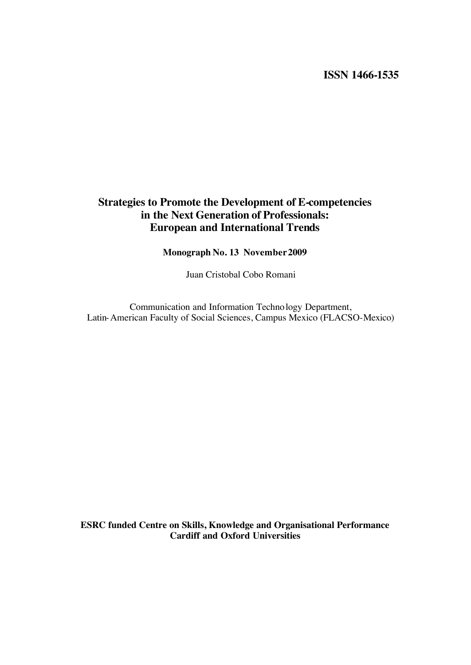# **ISSN 1466-1535**

# **Strategies to Promote the Development of E-competencies in the Next Generation of Professionals: European and International Trends**

**Monograph No. 13 November 2009**

Juan Cristobal Cobo Romani

Communication and Information Technology Department, Latin-American Faculty of Social Sciences, Campus Mexico (FLACSO-Mexico)

**ESRC funded Centre on Skills, Knowledge and Organisational Performance Cardiff and Oxford Universities**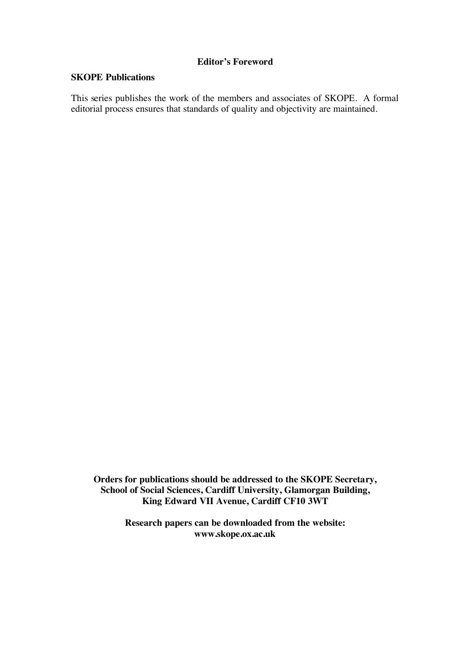# **Editor's Foreword**

# **SKOPE Publications**

This series publishes the work of the members and associates of SKOPE. A formal editorial process ensures that standards of quality and objectivity are maintained.

**Orders for publications should be addressed to the SKOPE Secretary, School of Social Sciences, Cardiff University, Glamorgan Building, King Edward VII Avenue, Cardiff CF10 3WT**

> **Research papers can be downloaded from the website: www.skope.ox.ac.uk**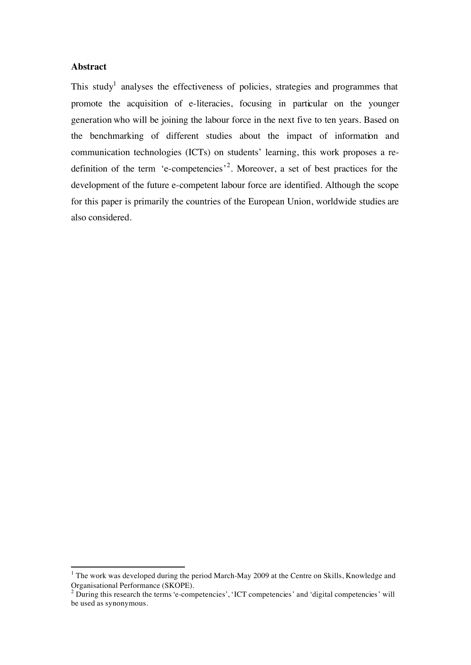# **Abstract**

This study<sup>1</sup> analyses the effectiveness of policies, strategies and programmes that promote the acquisition of e-literacies, focusing in particular on the younger generation who will be joining the labour force in the next five to ten years. Based on the benchmarking of different studies about the impact of information and communication technologies (ICTs) on students' learning, this work proposes a redefinition of the term 'e-competencies'<sup>2</sup>. Moreover, a set of best practices for the development of the future e-competent labour force are identified. Although the scope for this paper is primarily the countries of the European Union, worldwide studies are also considered.

 $\frac{1}{1}$  $1$  The work was developed during the period March-May 2009 at the Centre on Skills, Knowledge and

Organisational Performance (SKOPE).<br><sup>2</sup> During this research the terms 'e-competencies', 'ICT competencies' and 'digital competencies' will be used as synonymous.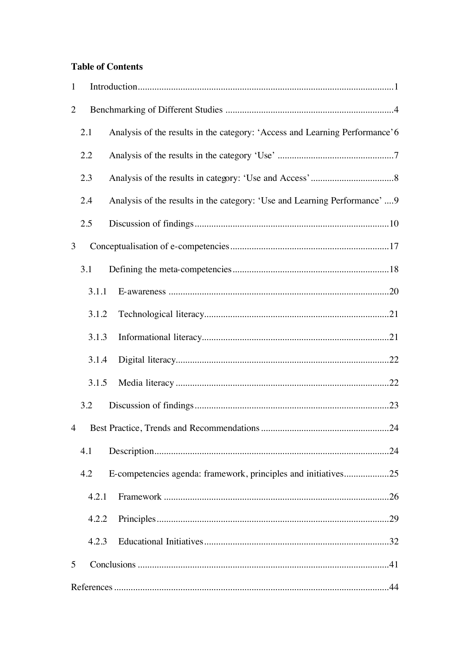# **Table of Contents**

| $\mathbf{1}$   |       |                                                                             |
|----------------|-------|-----------------------------------------------------------------------------|
| $\overline{2}$ |       |                                                                             |
|                | 2.1   | Analysis of the results in the category: 'Access and Learning Performance'6 |
|                | 2.2   |                                                                             |
|                | 2.3   |                                                                             |
|                | 2.4   | Analysis of the results in the category: 'Use and Learning Performance'9    |
|                | 2.5   |                                                                             |
| 3              |       |                                                                             |
|                | 3.1   |                                                                             |
|                | 3.1.1 |                                                                             |
|                | 3.1.2 |                                                                             |
|                | 3.1.3 |                                                                             |
|                | 3.1.4 |                                                                             |
|                | 3.1.5 |                                                                             |
|                | 3.2   |                                                                             |
| 4              |       |                                                                             |
|                | 4.1   |                                                                             |
|                | 4.2   | E-competencies agenda: framework, principles and initiatives25              |
|                | 4.2.1 |                                                                             |
|                | 4.2.2 |                                                                             |
|                | 4.2.3 |                                                                             |
| 5              |       |                                                                             |
|                |       |                                                                             |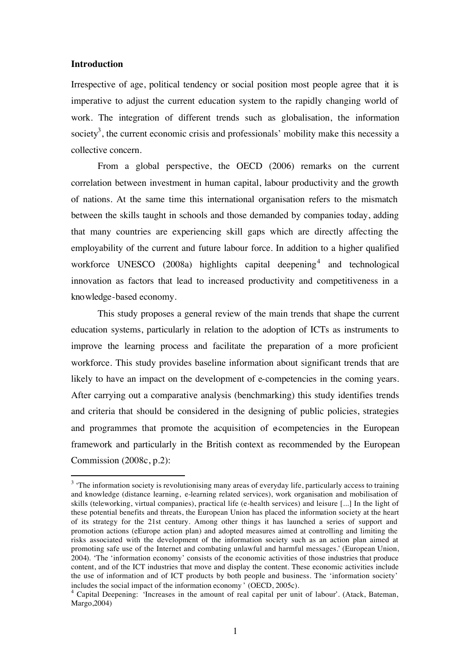## **Introduction**

Irrespective of age, political tendency or social position most people agree that it is imperative to adjust the current education system to the rapidly changing world of work. The integration of different trends such as globalisation, the information society<sup>3</sup>, the current economic crisis and professionals' mobility make this necessity a collective concern.

From a global perspective, the OECD (2006) remarks on the current correlation between investment in human capital, labour productivity and the growth of nations. At the same time this international organisation refers to the mismatch between the skills taught in schools and those demanded by companies today, adding that many countries are experiencing skill gaps which are directly affecting the employability of the current and future labour force. In addition to a higher qualified workforce UNESCO (2008a) highlights capital deepening<sup>4</sup> and technological innovation as factors that lead to increased productivity and competitiveness in a knowledge-based economy.

This study proposes a general review of the main trends that shape the current education systems, particularly in relation to the adoption of ICTs as instruments to improve the learning process and facilitate the preparation of a more proficient workforce. This study provides baseline information about significant trends that are likely to have an impact on the development of e-competencies in the coming years. After carrying out a comparative analysis (benchmarking) this study identifies trends and criteria that should be considered in the designing of public policies, strategies and programmes that promote the acquisition of e-competencies in the European framework and particularly in the British context as recommended by the European Commission (2008c, p.2):

<sup>&</sup>lt;sup>3</sup> 'The information society is revolutionising many areas of everyday life, particularly access to training and knowledge (distance learning, e-learning related services), work organisation and mobilisation of skills (teleworking, virtual companies), practical life (e-health services) and leisure [...] In the light of these potential benefits and threats, the European Union has placed the information society at the heart of its strategy for the 21st century. Among other things it has launched a series of support and promotion actions (eEurope action plan) and adopted measures aimed at controlling and limiting the risks associated with the development of the information society such as an action plan aimed at promoting safe use of the Internet and combating unlawful and harmful messages.' (European Union, 2004). 'The 'information economy' consists of the economic activities of those industries that produce content, and of the ICT industries that move and display the content. These economic activities include the use of information and of ICT products by both people and business. The 'information society' includes the social impact of the information economy ' (OECD, 2005c).

<sup>&</sup>lt;sup>4</sup> Capital Deepening: 'Increases in the amount of real capital per unit of labour'. (Atack, Bateman, Margo,2004)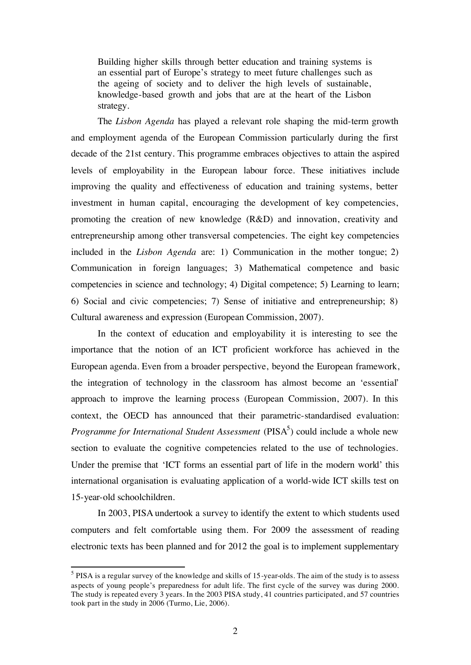Building higher skills through better education and training systems is an essential part of Europe's strategy to meet future challenges such as the ageing of society and to deliver the high levels of sustainable, knowledge-based growth and jobs that are at the heart of the Lisbon strategy.

The *Lisbon Agenda* has played a relevant role shaping the mid-term growth and employment agenda of the European Commission particularly during the first decade of the 21st century. This programme embraces objectives to attain the aspired levels of employability in the European labour force. These initiatives include improving the quality and effectiveness of education and training systems, better investment in human capital, encouraging the development of key competencies, promoting the creation of new knowledge (R&D) and innovation, creativity and entrepreneurship among other transversal competencies. The eight key competencies included in the *Lisbon Agenda* are: 1) Communication in the mother tongue; 2) Communication in foreign languages; 3) Mathematical competence and basic competencies in science and technology; 4) Digital competence; 5) Learning to learn; 6) Social and civic competencies; 7) Sense of initiative and entrepreneurship; 8) Cultural awareness and expression (European Commission, 2007).

In the context of education and employability it is interesting to see the importance that the notion of an ICT proficient workforce has achieved in the European agenda. Even from a broader perspective, beyond the European framework, the integration of technology in the classroom has almost become an 'essential' approach to improve the learning process (European Commission, 2007). In this context, the OECD has announced that their parametric-standardised evaluation: *Programme for International Student Assessment* (PISA<sup>5</sup>) could include a whole new section to evaluate the cognitive competencies related to the use of technologies. Under the premise that 'ICT forms an essential part of life in the modern world' this international organisation is evaluating application of a world-wide ICT skills test on 15-year-old schoolchildren.

In 2003, PISA undertook a survey to identify the extent to which students used computers and felt comfortable using them. For 2009 the assessment of reading electronic texts has been planned and for 2012 the goal is to implement supplementary

 <sup>5</sup>  $<sup>5</sup>$  PISA is a regular survey of the knowledge and skills of 15-year-olds. The aim of the study is to assess</sup> aspects of young people's preparedness for adult life. The first cycle of the survey was during 2000. The study is repeated every 3 years. In the 2003 PISA study, 41 countries participated, and 57 countries took part in the study in 2006 (Turmo, Lie, 2006).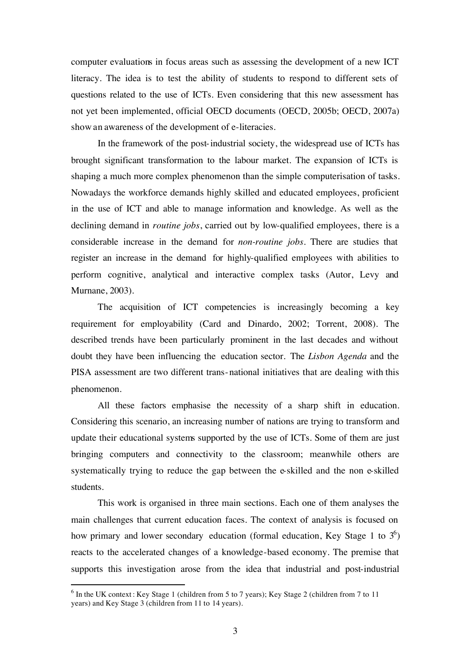computer evaluations in focus areas such as assessing the development of a new ICT literacy. The idea is to test the ability of students to respond to different sets of questions related to the use of ICTs. Even considering that this new assessment has not yet been implemented, official OECD documents (OECD, 2005b; OECD, 2007a) showan awareness of the development of e-literacies.

In the framework of the post-industrial society, the widespread use of ICTs has brought significant transformation to the labour market. The expansion of ICTs is shaping a much more complex phenomenon than the simple computerisation of tasks. Nowadays the workforce demands highly skilled and educated employees, proficient in the use of ICT and able to manage information and knowledge. As well as the declining demand in *routine jobs*, carried out by low-qualified employees, there is a considerable increase in the demand for *non-routine jobs*. There are studies that register an increase in the demand for highly-qualified employees with abilities to perform cognitive, analytical and interactive complex tasks (Autor, Levy and Murnane, 2003).

The acquisition of ICT competencies is increasingly becoming a key requirement for employability (Card and Dinardo, 2002; Torrent, 2008). The described trends have been particularly prominent in the last decades and without doubt they have been influencing the education sector. The *Lisbon Agenda* and the PISA assessment are two different trans-national initiatives that are dealing with this phenomenon.

All these factors emphasise the necessity of a sharp shift in education. Considering this scenario, an increasing number of nations are trying to transform and update their educational systems supported by the use of ICTs. Some of them are just bringing computers and connectivity to the classroom; meanwhile others are systematically trying to reduce the gap between the e-skilled and the non e-skilled students.

This work is organised in three main sections. Each one of them analyses the main challenges that current education faces. The context of analysis is focused on how primary and lower secondary education (formal education, Key Stage 1 to  $3<sup>6</sup>$ ) reacts to the accelerated changes of a knowledge-based economy. The premise that supports this investigation arose from the idea that industrial and post-industrial

 <sup>6</sup>  $6$  In the UK context: Key Stage 1 (children from 5 to 7 years); Key Stage 2 (children from 7 to 11) years) and Key Stage 3 (children from 11 to 14 years).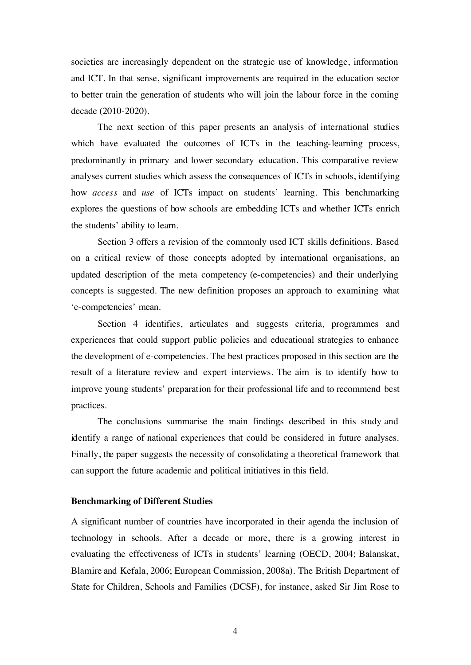societies are increasingly dependent on the strategic use of knowledge, information and ICT. In that sense, significant improvements are required in the education sector to better train the generation of students who will join the labour force in the coming decade (2010-2020).

The next section of this paper presents an analysis of international studies which have evaluated the outcomes of ICTs in the teaching-learning process, predominantly in primary and lower secondary education. This comparative review analyses current studies which assess the consequences of ICTs in schools, identifying how *access* and *use* of ICTs impact on students' learning. This benchmarking explores the questions of how schools are embedding ICTs and whether ICTs enrich the students' ability to learn.

Section 3 offers a revision of the commonly used ICT skills definitions. Based on a critical review of those concepts adopted by international organisations, an updated description of the meta competency (e-competencies) and their underlying concepts is suggested. The new definition proposes an approach to examining what 'e-competencies' mean.

Section 4 identifies, articulates and suggests criteria, programmes and experiences that could support public policies and educational strategies to enhance the development of e-competencies. The best practices proposed in this section are the result of a literature review and expert interviews. The aim is to identify how to improve young students' preparation for their professional life and to recommend best practices.

The conclusions summarise the main findings described in this study and identify a range of national experiences that could be considered in future analyses. Finally, the paper suggests the necessity of consolidating a theoretical framework that can support the future academic and political initiatives in this field.

## **Benchmarking of Different Studies**

A significant number of countries have incorporated in their agenda the inclusion of technology in schools. After a decade or more, there is a growing interest in evaluating the effectiveness of ICTs in students' learning (OECD, 2004; Balanskat, Blamire and Kefala, 2006; European Commission, 2008a). The British Department of State for Children, Schools and Families (DCSF), for instance, asked Sir Jim Rose to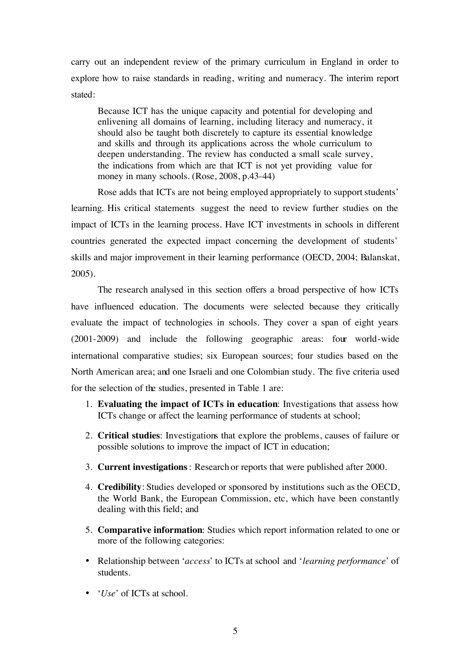carry out an independent review of the primary curriculum in England in order to explore how to raise standards in reading, writing and numeracy. The interim report stated:

Because ICT has the unique capacity and potential for developing and enlivening all domains of learning, including literacy and numeracy, it should also be taught both discretely to capture its essential knowledge and skills and through its applications across the whole curriculum to deepen understanding. The review has conducted a small scale survey, the indications from which are that ICT is not yet providing value for money in many schools. (Rose, 2008, p.43-44)

Rose adds that ICTs are not being employed appropriately to support students' learning. His critical statements suggest the need to review further studies on the impact of ICTs in the learning process. Have ICT investments in schools in different countries generated the expected impact concerning the development of students' skills and major improvement in their learning performance (OECD, 2004; Balanskat, 2005).

The research analysed in this section offers a broad perspective of how ICTs have influenced education. The documents were selected because they critically evaluate the impact of technologies in schools. They cover a span of eight years (2001-2009) and include the following geographic areas: four world-wide international comparative studies; six European sources; four studies based on the North American area; and one Israeli and one Colombian study. The five criteria used for the selection of the studies, presented in Table 1 are:

- 1. **Evaluating the impact of ICTs in education**: Investigations that assess how ICTs change or affect the learning performance of students at school;
- 2. **Critical studies**: Investigations that explore the problems, causes of failure or possible solutions to improve the impact of ICT in education;
- 3. **Current investigations**: Research or reports that were published after 2000.
- 4. **Credibility**: Studies developed or sponsored by institutions such as the OECD, the World Bank, the European Commission, etc, which have been constantly dealing with this field; and
- 5. **Comparative information**: Studies which report information related to one or more of the following categories:
- Relationship between '*access*' to ICTs at school and '*learning performance*' of students.
- '*Use*' of ICTs at school.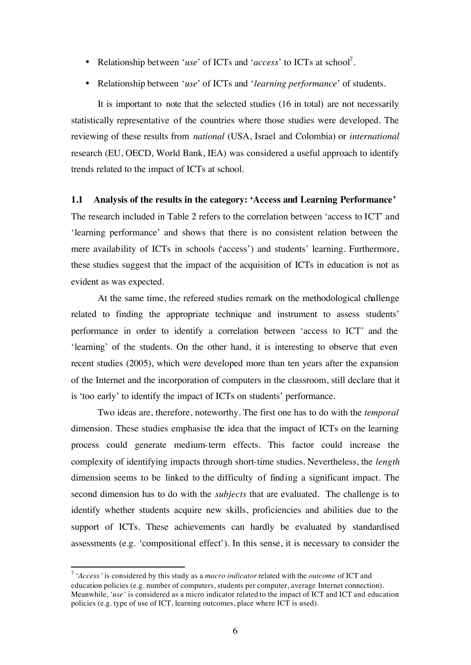- Relationship between '*use*' of ICTs and '*access*' to ICTs at school<sup>7</sup>.
- Relationship between '*use*' of ICTs and '*learning performance*' of students.

It is important to note that the selected studies (16 in total) are not necessarily statistically representative of the countries where those studies were developed. The reviewing of these results from *national* (USA, Israel and Colombia) or *international*  research (EU, OECD, World Bank, IEA) was considered a useful approach to identify trends related to the impact of ICTs at school.

#### **1.1 Analysis of the results in the category: 'Access and Learning Performance'**

The research included in Table 2 refers to the correlation between 'access to ICT' and 'learning performance' and shows that there is no consistent relation between the mere availability of ICTs in schools ('access') and students' learning. Furthermore, these studies suggest that the impact of the acquisition of ICTs in education is not as evident as was expected.

At the same time, the refereed studies remark on the methodological challenge related to finding the appropriate technique and instrument to assess students' performance in order to identify a correlation between 'access to ICT' and the 'learning' of the students. On the other hand, it is interesting to observe that even recent studies (2005), which were developed more than ten years after the expansion of the Internet and the incorporation of computers in the classroom, still declare that it is 'too early' to identify the impact of ICTs on students' performance.

Two ideas are, therefore, noteworthy. The first one has to do with the *temporal* dimension. These studies emphasise the idea that the impact of ICTs on the learning process could generate medium-term effects. This factor could increase the complexity of identifying impacts through short-time studies. Nevertheless, the *length* dimension seems to be linked to the difficulty of finding a significant impact. The second dimension has to do with the *subjects* that are evaluated. The challenge is to identify whether students acquire new skills, proficiencies and abilities due to the support of ICTs. These achievements can hardly be evaluated by standardised assessments (e.g. 'compositional effect'). In this sense, it is necessary to consider the

 <sup>7</sup> '*Access'* is considered by this study as a *macro indicator* related with the *outcome* of ICT and education policies (e.g. number of computers, students per computer, average Internet connection). Meanwhile, '*use'* is considered as a micro indicator related to the impact of ICT and ICT and education policies (e.g. type of use of ICT, learning outcomes, place where ICT is used).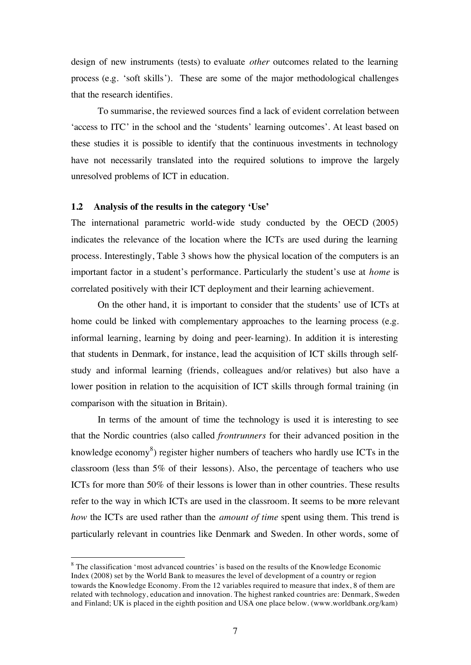design of new instruments (tests) to evaluate *other* outcomes related to the learning process (e.g. 'soft skills'). These are some of the major methodological challenges that the research identifies.

To summarise, the reviewed sources find a lack of evident correlation between 'access to ITC' in the school and the 'students' learning outcomes'. At least based on these studies it is possible to identify that the continuous investments in technology have not necessarily translated into the required solutions to improve the largely unresolved problems of ICT in education.

# **1.2 Analysis of the results in the category 'Use'**

The international parametric world-wide study conducted by the OECD (2005) indicates the relevance of the location where the ICTs are used during the learning process. Interestingly, Table 3 shows how the physical location of the computers is an important factor in a student's performance. Particularly the student's use at *home* is correlated positively with their ICT deployment and their learning achievement.

On the other hand, it is important to consider that the students' use of ICTs at home could be linked with complementary approaches to the learning process (e.g. informal learning, learning by doing and peer-learning). In addition it is interesting that students in Denmark, for instance, lead the acquisition of ICT skills through selfstudy and informal learning (friends, colleagues and/or relatives) but also have a lower position in relation to the acquisition of ICT skills through formal training (in comparison with the situation in Britain).

In terms of the amount of time the technology is used it is interesting to see that the Nordic countries (also called *frontrunners* for their advanced position in the knowledge economy<sup>8</sup>) register higher numbers of teachers who hardly use ICTs in the classroom (less than 5% of their lessons). Also, the percentage of teachers who use ICTs for more than 50% of their lessons is lower than in other countries. These results refer to the way in which ICTs are used in the classroom. It seems to be more relevant *how* the ICTs are used rather than the *amount of time* spent using them. This trend is particularly relevant in countries like Denmark and Sweden. In other words, some of

 <sup>8</sup> <sup>8</sup> The classification 'most advanced countries' is based on the results of the Knowledge Economic Index (2008) set by the World Bank to measures the level of development of a country or region towards the Knowledge Economy. From the 12 variables required to measure that index, 8 of them are related with technology, education and innovation. The highest ranked countries are: Denmark, Sweden and Finland; UK is placed in the eighth position and USA one place below. (www.worldbank.org/kam)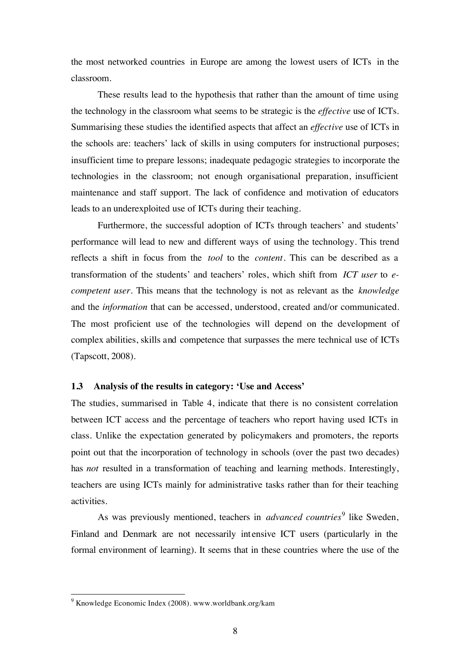the most networked countries in Europe are among the lowest users of ICTs in the classroom.

These results lead to the hypothesis that rather than the amount of time using the technology in the classroom what seems to be strategic is the *effective* use of ICTs. Summarising these studies the identified aspects that affect an *effective* use of ICTs in the schools are: teachers' lack of skills in using computers for instructional purposes; insufficient time to prepare lessons; inadequate pedagogic strategies to incorporate the technologies in the classroom; not enough organisational preparation, insufficient maintenance and staff support. The lack of confidence and motivation of educators leads to an underexploited use of ICTs during their teaching.

Furthermore, the successful adoption of ICTs through teachers' and students' performance will lead to new and different ways of using the technology. This trend reflects a shift in focus from the *tool* to the *content*. This can be described as a transformation of the students' and teachers' roles, which shift from *ICT user* to *ecompetent user*. This means that the technology is not as relevant as the *knowledge* and the *information* that can be accessed, understood, created and/or communicated. The most proficient use of the technologies will depend on the development of complex abilities, skills and competence that surpasses the mere technical use of ICTs (Tapscott, 2008).

## **1.3 Analysis of the results in category: 'Use and Access'**

The studies, summarised in Table 4, indicate that there is no consistent correlation between ICT access and the percentage of teachers who report having used ICTs in class. Unlike the expectation generated by policymakers and promoters, the reports point out that the incorporation of technology in schools (over the past two decades) has *not* resulted in a transformation of teaching and learning methods. Interestingly, teachers are using ICTs mainly for administrative tasks rather than for their teaching activities.

As was previously mentioned, teachers in *advanced countries*<sup>9</sup> like Sweden, Finland and Denmark are not necessarily intensive ICT users (particularly in the formal environment of learning). It seems that in these countries where the use of the

 <sup>9</sup>  $9$  Knowledge Economic Index (2008). www.worldbank.org/kam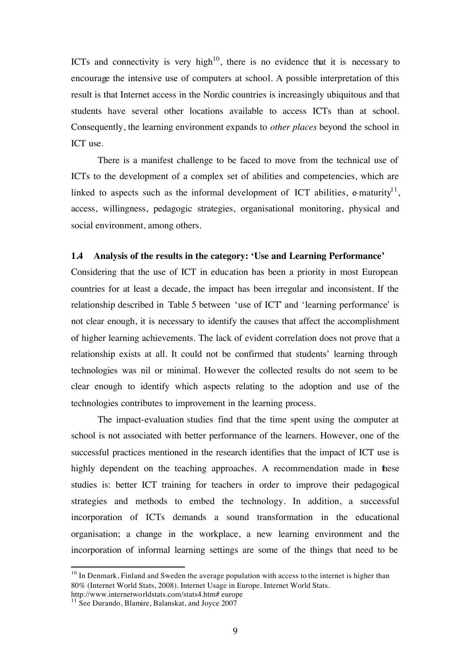ICTs and connectivity is very high $10$ , there is no evidence that it is necessary to encourage the intensive use of computers at school. A possible interpretation of this result is that Internet access in the Nordic countries is increasingly ubiquitous and that students have several other locations available to access ICTs than at school. Consequently, the learning environment expands to *other places* beyond the school in ICT use.

There is a manifest challenge to be faced to move from the technical use of ICTs to the development of a complex set of abilities and competencies, which are linked to aspects such as the informal development of ICT abilities, e-maturity<sup>11</sup>, access, willingness, pedagogic strategies, organisational monitoring, physical and social environment, among others.

# **1.4 Analysis of the results in the category: 'Use and Learning Performance'**

Considering that the use of ICT in education has been a priority in most European countries for at least a decade, the impact has been irregular and inconsistent. If the relationship described in Table 5 between 'use of ICT' and 'learning performance' is not clear enough, it is necessary to identify the causes that affect the accomplishment of higher learning achievements. The lack of evident correlation does not prove that a relationship exists at all. It could not be confirmed that students' learning through technologies was nil or minimal. However the collected results do not seem to be clear enough to identify which aspects relating to the adoption and use of the technologies contributes to improvement in the learning process.

The impact-evaluation studies find that the time spent using the computer at school is not associated with better performance of the learners. However, one of the successful practices mentioned in the research identifies that the impact of ICT use is highly dependent on the teaching approaches. A recommendation made in these studies is: better ICT training for teachers in order to improve their pedagogical strategies and methods to embed the technology. In addition, a successful incorporation of ICTs demands a sound transformation in the educational organisation; a change in the workplace, a new learning environment and the incorporation of informal learning settings are some of the things that need to be

 $10$  In Denmark, Finland and Sweden the average population with access to the internet is higher than 80% (Internet World Stats, 2008). Internet Usage in Europe. Internet World Stats.

http://www.internetworldstats.com/stats4.htm# europe

<sup>&</sup>lt;sup>11</sup> See Durando, Blamire, Balanskat, and Joyce 2007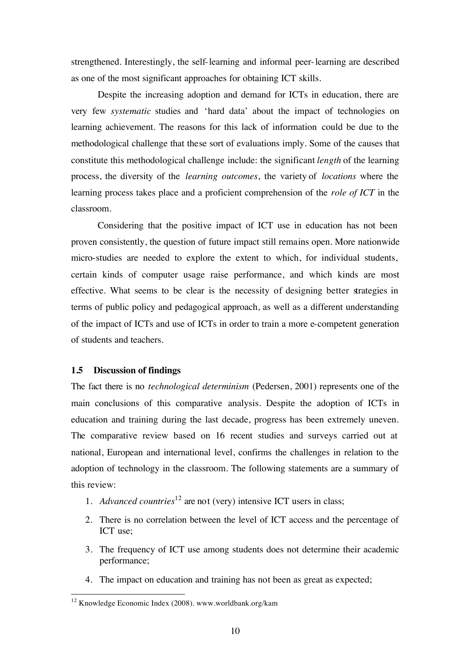strengthened. Interestingly, the self-learning and informal peer-learning are described as one of the most significant approaches for obtaining ICT skills.

Despite the increasing adoption and demand for ICTs in education, there are very few *systematic* studies and 'hard data' about the impact of technologies on learning achievement. The reasons for this lack of information could be due to the methodological challenge that these sort of evaluations imply. Some of the causes that constitute this methodological challenge include: the significant *length* of the learning process, the diversity of the *learning outcomes*, the variety of *locations* where the learning process takes place and a proficient comprehension of the *role of ICT* in the classroom.

Considering that the positive impact of ICT use in education has not been proven consistently, the question of future impact still remains open. More nationwide micro-studies are needed to explore the extent to which, for individual students, certain kinds of computer usage raise performance, and which kinds are most effective. What seems to be clear is the necessity of designing better strategies in terms of public policy and pedagogical approach, as well as a different understanding of the impact of ICTs and use of ICTs in order to train a more e-competent generation of students and teachers.

## **1.5 Discussion of findings**

The fact there is no *technological determinism* (Pedersen, 2001) represents one of the main conclusions of this comparative analysis. Despite the adoption of ICTs in education and training during the last decade, progress has been extremely uneven. The comparative review based on 16 recent studies and surveys carried out at national, European and international level, confirms the challenges in relation to the adoption of technology in the classroom. The following statements are a summary of this review:

- 1. *Advanced countries*<sup>12</sup> are not (very) intensive ICT users in class;
- 2. There is no correlation between the level of ICT access and the percentage of ICT use;
- 3. The frequency of ICT use among students does not determine their academic performance;
- 4. The impact on education and training has not been as great as expected;

 <sup>12</sup> Knowledge Economic Index (2008). www.worldbank.org/kam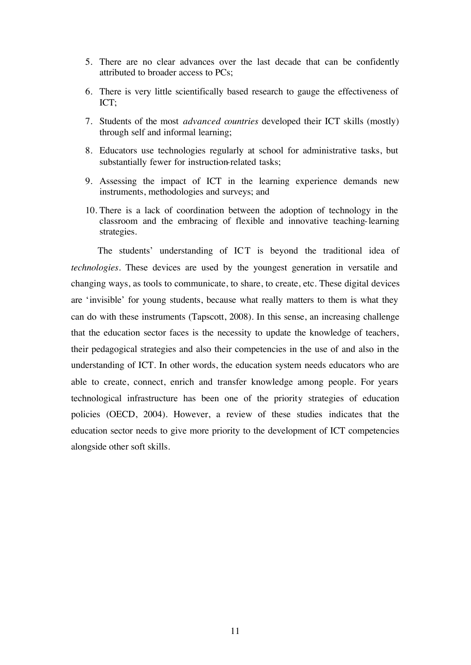- 5. There are no clear advances over the last decade that can be confidently attributed to broader access to PCs;
- 6. There is very little scientifically based research to gauge the effectiveness of ICT;
- 7. Students of the most *advanced countries* developed their ICT skills (mostly) through self and informal learning;
- 8. Educators use technologies regularly at school for administrative tasks, but substantially fewer for instruction-related tasks;
- 9. Assessing the impact of ICT in the learning experience demands new instruments, methodologies and surveys; and
- 10. There is a lack of coordination between the adoption of technology in the classroom and the embracing of flexible and innovative teaching-learning strategies.

The students' understanding of ICT is beyond the traditional idea of *technologies*. These devices are used by the youngest generation in versatile and changing ways, as tools to communicate, to share, to create, etc. These digital devices are 'invisible' for young students, because what really matters to them is what they can do with these instruments (Tapscott, 2008). In this sense, an increasing challenge that the education sector faces is the necessity to update the knowledge of teachers, their pedagogical strategies and also their competencies in the use of and also in the understanding of ICT. In other words, the education system needs educators who are able to create, connect, enrich and transfer knowledge among people. For years technological infrastructure has been one of the priority strategies of education policies (OECD, 2004). However, a review of these studies indicates that the education sector needs to give more priority to the development of ICT competencies alongside other soft skills.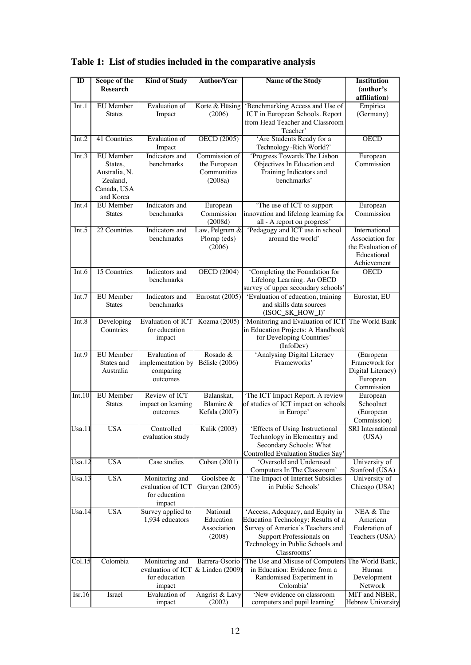| $\mathbf{I}$ | Scope of the           | <b>Kind of Study</b>                 | <b>Author/Year</b>                | <b>Name of the Study</b>                                               | <b>Institution</b>               |
|--------------|------------------------|--------------------------------------|-----------------------------------|------------------------------------------------------------------------|----------------------------------|
|              | <b>Research</b>        |                                      |                                   |                                                                        | (author's                        |
| Int.1        | <b>EU</b> Member       | <b>Evaluation</b> of                 | Korte & Hüsing                    | 'Benchmarking Access and Use of                                        | affiliation)<br>Empirica         |
|              | <b>States</b>          | Impact                               | (2006)                            | ICT in European Schools. Report                                        | (Germany)                        |
|              |                        |                                      |                                   | from Head Teacher and Classroom                                        |                                  |
|              |                        |                                      |                                   | Teacher'                                                               |                                  |
| Int.2        | 41 Countries           | Evaluation of                        | <b>OECD</b> (2005)                | 'Are Students Ready for a                                              | <b>OECD</b>                      |
| Int.3        | <b>EU</b> Member       | Impact<br>Indicators and             | Commission of                     | Technology-Rich World?'<br>'Progress Towards The Lisbon                |                                  |
|              | States,                | benchmarks                           | the European                      | Objectives In Education and                                            | European<br>Commission           |
|              | Australia, N.          |                                      | Communities                       | Training Indicators and                                                |                                  |
|              | Zealand,               |                                      | (2008a)                           | benchmarks'                                                            |                                  |
|              | Canada, USA            |                                      |                                   |                                                                        |                                  |
| Int.4        | and Korea<br>EU Member | Indicators and                       |                                   |                                                                        |                                  |
|              | <b>States</b>          | benchmarks                           | European<br>Commission            | 'The use of ICT to support<br>innovation and lifelong learning for     | European<br>Commission           |
|              |                        |                                      | (2008d)                           | all - A report on progress'                                            |                                  |
| Int.5        | 22 Countries           | Indicators and                       | Law, Pelgrum &                    | 'Pedagogy and ICT use in school                                        | International                    |
|              |                        | benchmarks                           | Plomp (eds)                       | around the world'                                                      | Association for                  |
|              |                        |                                      | (2006)                            |                                                                        | the Evaluation of<br>Educational |
|              |                        |                                      |                                   |                                                                        | Achievement                      |
| Int.6        | 15 Countries           | Indicators and                       | <b>OECD</b> (2004)                | 'Completing the Foundation for                                         | <b>OECD</b>                      |
|              |                        | benchmarks                           |                                   | Lifelong Learning. An OECD                                             |                                  |
|              | <b>EU</b> Member       |                                      | Eurostat (2005)                   | survey of upper secondary schools'                                     |                                  |
| Int.7        | <b>States</b>          | Indicators and<br>benchmarks         |                                   | 'Evaluation of education, training<br>and skills data sources          | Eurostat, EU                     |
|              |                        |                                      |                                   | (ISOC_SK_HOW_I)'                                                       |                                  |
| Int.8        | Developing             | <b>Evaluation of ICT</b>             | Kozma (2005)                      | 'Monitoring and Evaluation of ICT                                      | The World Bank                   |
|              | Countries              | for education                        |                                   | in Education Projects: A Handbook                                      |                                  |
|              |                        | impact                               |                                   | for Developing Countries'<br>(InfoDev)                                 |                                  |
| Int.9        | <b>EU</b> Member       | Evaluation of                        | Rosado &                          | 'Analysing Digital Literacy                                            | (European                        |
|              | States and             | implementation by                    | <b>Bélisle</b> (2006)             | Frameworks'                                                            | Framework for                    |
|              | Australia              | comparing                            |                                   |                                                                        | Digital Literacy)                |
|              |                        | outcomes                             |                                   |                                                                        | European<br>Commission           |
| Int.10       | EU Member              | Review of ICT                        | Balanskat,                        | 'The ICT Impact Report. A review                                       | European                         |
|              | <b>States</b>          | impact on learning                   | Blamire &                         | of studies of ICT impact on schools                                    | Schoolnet                        |
|              |                        | outcomes                             | Kefala (2007)                     | in Europe'                                                             | (European                        |
| Usa.11       |                        |                                      |                                   |                                                                        | Commission)                      |
|              | <b>USA</b>             | Controlled<br>evaluation study       | Kulik (2003)                      | 'Effects of Using Instructional<br>Technology in Elementary and        | SRI International<br>(USA)       |
|              |                        |                                      |                                   | Secondary Schools: What                                                |                                  |
|              |                        |                                      |                                   | Controlled Evaluation Studies Say                                      |                                  |
| Usa.12       | <b>USA</b>             | Case studies                         | Cuban (2001)                      | 'Oversold and Underused                                                | University of                    |
| Usa.13       | <b>USA</b>             | Monitoring and                       | Goolsbee &                        | Computers In The Classroom'<br>'The Impact of Internet Subsidies       | Stanford (USA)<br>University of  |
|              |                        | evaluation of ICT                    | <b>Guryan</b> (2005)              | in Public Schools'                                                     | Chicago (USA)                    |
|              |                        | for education                        |                                   |                                                                        |                                  |
|              |                        | impact                               |                                   |                                                                        |                                  |
| Usa.14       | <b>USA</b>             | Survey applied to<br>1,934 educators | National<br>Education             | 'Access, Adequacy, and Equity in<br>Education Technology: Results of a | NEA & The<br>American            |
|              |                        |                                      | Association                       | Survey of America's Teachers and                                       | Federation of                    |
|              |                        |                                      | (2008)                            | Support Professionals on                                               | Teachers (USA)                   |
|              |                        |                                      |                                   | Technology in Public Schools and                                       |                                  |
|              |                        |                                      |                                   | Classrooms'                                                            |                                  |
| Col.15       | Colombia               | Monitoring and<br>evaluation of ICT  | Barrera-Osorio<br>& Linden (2009) | The Use and Misuse of Computers<br>in Education: Evidence from a       | The World Bank,<br>Human         |
|              |                        | for education                        |                                   | Randomised Experiment in                                               | Development                      |
|              |                        | impact                               |                                   | Colombia'                                                              | Network                          |
| Isr.16       | Israel                 | Evaluation of                        | Angrist & Lavy                    | 'New evidence on classroom                                             | MIT and NBER,                    |
|              |                        | impact                               | (2002)                            | computers and pupil learning'                                          | <b>Hebrew University</b>         |

# **Table 1: List of studies included in the comparative analysis**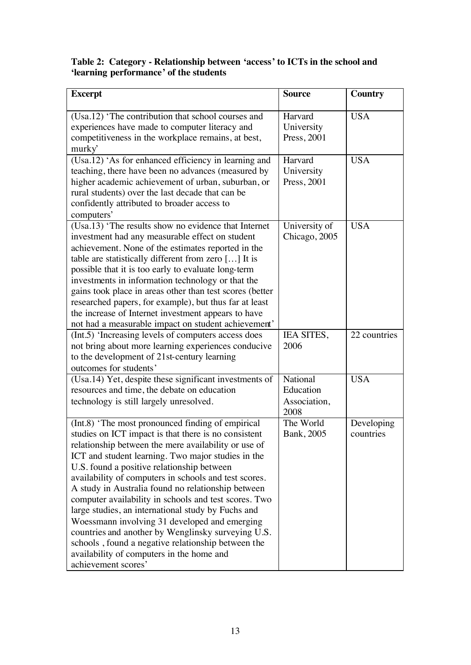# **Table 2: Category - Relationship between 'access' to ICTs in the school and 'learning performance' of the students**

| <b>Excerpt</b>                                                                                   | <b>Source</b>             | <b>Country</b> |
|--------------------------------------------------------------------------------------------------|---------------------------|----------------|
|                                                                                                  |                           |                |
| (Usa.12) 'The contribution that school courses and                                               | Harvard                   | <b>USA</b>     |
| experiences have made to computer literacy and                                                   | University<br>Press, 2001 |                |
| competitiveness in the workplace remains, at best,                                               |                           |                |
| murky'<br>(Usa.12) 'As for enhanced efficiency in learning and                                   | Harvard                   | <b>USA</b>     |
| teaching, there have been no advances (measured by                                               | University                |                |
| higher academic achievement of urban, suburban, or                                               | Press, 2001               |                |
| rural students) over the last decade that can be                                                 |                           |                |
| confidently attributed to broader access to                                                      |                           |                |
| computers'                                                                                       |                           |                |
| (Usa.13) 'The results show no evidence that Internet                                             | University of             | <b>USA</b>     |
| investment had any measurable effect on student                                                  | Chicago, 2005             |                |
| achievement. None of the estimates reported in the                                               |                           |                |
| table are statistically different from zero [] It is                                             |                           |                |
| possible that it is too early to evaluate long-term                                              |                           |                |
| investments in information technology or that the                                                |                           |                |
| gains took place in areas other than test scores (better                                         |                           |                |
| researched papers, for example), but thus far at least                                           |                           |                |
| the increase of Internet investment appears to have                                              |                           |                |
| not had a measurable impact on student achievement'                                              |                           |                |
| (Int.5) 'Increasing levels of computers access does                                              | <b>IEA SITES,</b>         | 22 countries   |
| not bring about more learning experiences conducive                                              | 2006                      |                |
| to the development of 21st-century learning                                                      |                           |                |
| outcomes for students'                                                                           |                           |                |
| (Usa.14) Yet, despite these significant investments of                                           | National                  | <b>USA</b>     |
| resources and time, the debate on education                                                      | Education                 |                |
| technology is still largely unresolved.                                                          | Association,              |                |
|                                                                                                  | 2008                      |                |
| (Int.8) 'The most pronounced finding of empirical                                                | The World                 | Developing     |
| studies on ICT impact is that there is no consistent                                             | Bank, 2005                | countries      |
| relationship between the mere availability or use of                                             |                           |                |
| ICT and student learning. Two major studies in the<br>U.S. found a positive relationship between |                           |                |
| availability of computers in schools and test scores.                                            |                           |                |
| A study in Australia found no relationship between                                               |                           |                |
| computer availability in schools and test scores. Two                                            |                           |                |
| large studies, an international study by Fuchs and                                               |                           |                |
| Woessmann involving 31 developed and emerging                                                    |                           |                |
| countries and another by Wenglinsky surveying U.S.                                               |                           |                |
| schools, found a negative relationship between the                                               |                           |                |
|                                                                                                  |                           |                |
| availability of computers in the home and                                                        |                           |                |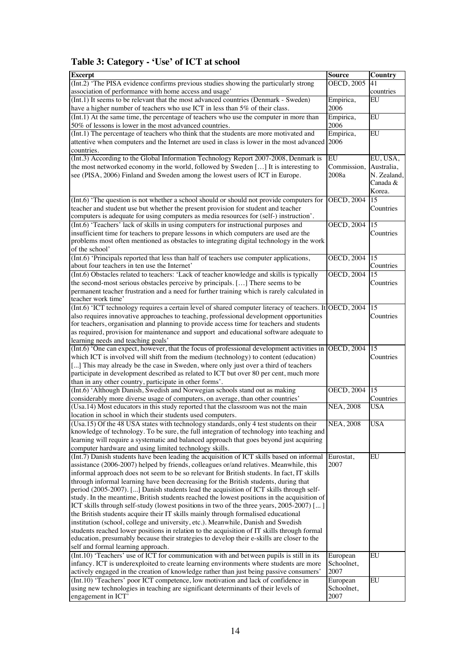# **Table 3: Category - 'Use' of ICT at school**

| <b>Excerpt</b>                                                                               | <b>Source</b>     | Country                  |
|----------------------------------------------------------------------------------------------|-------------------|--------------------------|
| (Int.2) 'The PISA evidence confirms previous studies showing the particularly strong         | <b>OECD, 2005</b> | 41                       |
| association of performance with home access and usage'                                       |                   | countries                |
| (Int.1) It seems to be relevant that the most advanced countries (Denmark - Sweden)          | Empirica,         | $\overline{\mathrm{EU}}$ |
|                                                                                              |                   |                          |
| have a higher number of teachers who use ICT in less than 5% of their class.                 | 2006              |                          |
| (Int.1) At the same time, the percentage of teachers who use the computer in more than       | Empirica,         | EU                       |
| 50% of lessons is lower in the most advanced countries.                                      | 2006              |                          |
| (Int.1) The percentage of teachers who think that the students are more motivated and        | Empirica,         | EU                       |
|                                                                                              |                   |                          |
| attentive when computers and the Internet are used in class is lower in the most advanced    | 2006              |                          |
| countries.                                                                                   |                   |                          |
| (Int.3) According to the Global Information Technology Report 2007-2008, Denmark is          | EU                | EU, USA,                 |
| the most networked economy in the world, followed by Sweden [] It is interesting to          | Commission,       | Australia,               |
|                                                                                              | 2008a             | N. Zealand.              |
| see (PISA, 2006) Finland and Sweden among the lowest users of ICT in Europe.                 |                   |                          |
|                                                                                              |                   | Canada &                 |
|                                                                                              |                   | Korea.                   |
| (Int.6) 'The question is not whether a school should or should not provide computers for     | <b>OECD, 2004</b> | 15                       |
| teacher and student use but whether the present provision for student and teacher            |                   | Countries                |
| computers is adequate for using computers as media resources for (self-) instruction'.       |                   |                          |
|                                                                                              |                   |                          |
| (Int.6) 'Teachers' lack of skills in using computers for instructional purposes and          | <b>OECD, 2004</b> | 15                       |
| insufficient time for teachers to prepare lessons in which computers are used are the        |                   | Countries                |
| problems most often mentioned as obstacles to integrating digital technology in the work     |                   |                          |
| of the school'                                                                               |                   |                          |
|                                                                                              |                   | 15                       |
| (Int.6) 'Principals reported that less than half of teachers use computer applications,      | OECD, 2004        |                          |
| about four teachers in ten use the Internet'                                                 |                   | Countries                |
| (Int.6) Obstacles related to teachers: 'Lack of teacher knowledge and skills is typically    | <b>OECD, 2004</b> | $\overline{15}$          |
| the second-most serious obstacles perceive by principals. [] There seems to be               |                   | Countries                |
| permanent teacher frustration and a need for further training which is rarely calculated in  |                   |                          |
|                                                                                              |                   |                          |
| teacher work time'                                                                           |                   |                          |
| (Int.6) 'ICT technology requires a certain level of shared computer literacy of teachers. It | <b>OECD, 2004</b> | 15                       |
| also requires innovative approaches to teaching, professional development opportunities      |                   | Countries                |
| for teachers, organisation and planning to provide access time for teachers and students     |                   |                          |
|                                                                                              |                   |                          |
| as required, provision for maintenance and support and educational software adequate to      |                   |                          |
| learning needs and teaching goals'                                                           |                   |                          |
| (Int.6) 'One can expect, however, that the focus of professional development activities in   | <b>OECD, 2004</b> | 15                       |
| which ICT is involved will shift from the medium (technology) to content (education)         |                   | Countries                |
| [] This may already be the case in Sweden, where only just over a third of teachers          |                   |                          |
|                                                                                              |                   |                          |
| participate in development described as related to ICT but over 80 per cent, much more       |                   |                          |
| than in any other country, participate in other forms'.                                      |                   |                          |
| (Int.6) 'Although Danish, Swedish and Norwegian schools stand out as making                  | <b>OECD, 2004</b> | 15                       |
| considerably more diverse usage of computers, on average, than other countries'              |                   | Countries                |
| (Usa.14) Most educators in this study reported that the classroom was not the main           | <b>NEA, 2008</b>  | <b>USA</b>               |
| location in school in which their students used computers.                                   |                   |                          |
|                                                                                              |                   |                          |
| (Usa.15) Of the 48 USA states with technology standards, only 4 test students on their       | <b>NEA, 2008</b>  | <b>USA</b>               |
| knowledge of technology. To be sure, the full integration of technology into teaching and    |                   |                          |
| learning will require a systematic and balanced approach that goes beyond just acquiring     |                   |                          |
| computer hardware and using limited technology skills.                                       |                   |                          |
| (Int.7) Danish students have been leading the acquisition of ICT skills based on informal    |                   | EU                       |
|                                                                                              | Eurostat,         |                          |
| assistance (2006-2007) helped by friends, colleagues or/and relatives. Meanwhile, this       | 2007              |                          |
| informal approach does not seem to be so relevant for British students. In fact, IT skills   |                   |                          |
| through informal learning have been decreasing for the British students, during that         |                   |                          |
| period (2005-2007). [] Danish students lead the acquisition of ICT skills through self-      |                   |                          |
| study. In the meantime, British students reached the lowest positions in the acquisition of  |                   |                          |
|                                                                                              |                   |                          |
| ICT skills through self-study (lowest positions in two of the three years, 2005-2007) []     |                   |                          |
| the British students acquire their IT skills mainly through formalised educational           |                   |                          |
| institution (school, college and university, etc.). Meanwhile, Danish and Swedish            |                   |                          |
| students reached lower positions in relation to the acquisition of IT skills through formal  |                   |                          |
| education, presumably because their strategies to develop their e-skills are closer to the   |                   |                          |
| self and formal learning approach.                                                           |                   |                          |
|                                                                                              |                   |                          |
| (Int.10) 'Teachers' use of ICT for communication with and between pupils is still in its     | European          | EU                       |
| infancy. ICT is underexploited to create learning environments where students are more       | Schoolnet,        |                          |
| actively engaged in the creation of knowledge rather than just being passive consumers'      | 2007              |                          |
| (Int.10) 'Teachers' poor ICT competence, low motivation and lack of confidence in            | European          | EU                       |
| using new technologies in teaching are significant determinants of their levels of           | Schoolnet,        |                          |
| engagement in ICT'                                                                           | 2007              |                          |
|                                                                                              |                   |                          |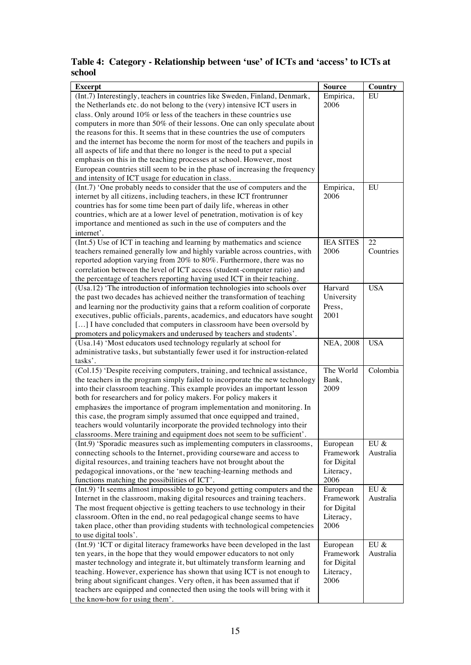# **Table 4: Category - Relationship between 'use' of ICTs and 'access' to ICTs at school**

| <b>Excerpt</b>                                                                                                                                           | <b>Source</b>         | Country                      |
|----------------------------------------------------------------------------------------------------------------------------------------------------------|-----------------------|------------------------------|
| (Int.7) Interestingly, teachers in countries like Sweden, Finland, Denmark,                                                                              | Empirica,             | EU                           |
| the Netherlands etc. do not belong to the (very) intensive ICT users in                                                                                  | 2006                  |                              |
| class. Only around 10% or less of the teachers in these countries use                                                                                    |                       |                              |
| computers in more than 50% of their lessons. One can only speculate about                                                                                |                       |                              |
| the reasons for this. It seems that in these countries the use of computers                                                                              |                       |                              |
| and the internet has become the norm for most of the teachers and pupils in                                                                              |                       |                              |
| all aspects of life and that there no longer is the need to put a special                                                                                |                       |                              |
| emphasis on this in the teaching processes at school. However, most                                                                                      |                       |                              |
| European countries still seem to be in the phase of increasing the frequency                                                                             |                       |                              |
| and intensity of ICT usage for education in class.                                                                                                       |                       |                              |
| (Int.7) 'One probably needs to consider that the use of computers and the                                                                                | Empirica,             | EU                           |
| internet by all citizens, including teachers, in these ICT frontrunner                                                                                   | 2006                  |                              |
| countries has for some time been part of daily life, whereas in other                                                                                    |                       |                              |
| countries, which are at a lower level of penetration, motivation is of key                                                                               |                       |                              |
| importance and mentioned as such in the use of computers and the                                                                                         |                       |                              |
| internet'.                                                                                                                                               |                       |                              |
| (Int.5) Use of ICT in teaching and learning by mathematics and science                                                                                   | <b>IEA SITES</b>      | 22                           |
| teachers remained generally low and highly variable across countries, with                                                                               | 2006                  | Countries                    |
| reported adoption varying from 20% to 80%. Furthermore, there was no                                                                                     |                       |                              |
| correlation between the level of ICT access (student-computer ratio) and                                                                                 |                       |                              |
| the percentage of teachers reporting having used ICT in their teaching.                                                                                  | Harvard               |                              |
| (Usa.12) 'The introduction of information technologies into schools over                                                                                 |                       | <b>USA</b>                   |
| the past two decades has achieved neither the transformation of teaching<br>and learning nor the productivity gains that a reform coalition of corporate | University            |                              |
| executives, public officials, parents, academics, and educators have sought                                                                              | Press,<br>2001        |                              |
| [] I have concluded that computers in classroom have been oversold by                                                                                    |                       |                              |
| promoters and policymakers and underused by teachers and students'.                                                                                      |                       |                              |
| (Usa.14) 'Most educators used technology regularly at school for                                                                                         | NEA, 2008             | <b>USA</b>                   |
| administrative tasks, but substantially fewer used it for instruction-related                                                                            |                       |                              |
| tasks'.                                                                                                                                                  |                       |                              |
| (Col.15) 'Despite receiving computers, training, and technical assistance,                                                                               | The World             | Colombia                     |
| the teachers in the program simply failed to incorporate the new technology                                                                              | Bank,                 |                              |
| into their classroom teaching. This example provides an important lesson                                                                                 | 2009                  |                              |
| both for researchers and for policy makers. For policy makers it                                                                                         |                       |                              |
| emphasizes the importance of program implementation and monitoring. In                                                                                   |                       |                              |
| this case, the program simply assumed that once equipped and trained,                                                                                    |                       |                              |
| teachers would voluntarily incorporate the provided technology into their                                                                                |                       |                              |
| classrooms. Mere training and equipment does not seem to be sufficient'.                                                                                 |                       |                              |
| (Int.9) 'Sporadic measures such as implementing computers in classrooms,                                                                                 | European              | EU $\&$                      |
| connecting schools to the Internet, providing courseware and access to                                                                                   | Framework             | Australia                    |
| digital resources, and training teachers have not brought about the                                                                                      | for Digital           |                              |
| pedagogical innovations, or the 'new teaching-learning methods and                                                                                       | Literacy,             |                              |
| functions matching the possibilities of ICT'.                                                                                                            | 2006                  |                              |
| (Int.9) 'It seems almost impossible to go beyond getting computers and the                                                                               | European              | EU $\&$                      |
| Internet in the classroom, making digital resources and training teachers.                                                                               | Framework             | Australia                    |
| The most frequent objective is getting teachers to use technology in their                                                                               | for Digital           |                              |
| classroom. Often in the end, no real pedagogical change seems to have                                                                                    | Literacy,             |                              |
| taken place, other than providing students with technological competencies                                                                               | 2006                  |                              |
| to use digital tools'.                                                                                                                                   |                       |                              |
| (Int.9) 'ICT or digital literacy frameworks have been developed in the last                                                                              | European<br>Framework | $\mathrm{EU}$ &<br>Australia |
| ten years, in the hope that they would empower educators to not only<br>master technology and integrate it, but ultimately transform learning and        | for Digital           |                              |
| teaching. However, experience has shown that using ICT is not enough to                                                                                  | Literacy,             |                              |
| bring about significant changes. Very often, it has been assumed that if                                                                                 | 2006                  |                              |
| teachers are equipped and connected then using the tools will bring with it                                                                              |                       |                              |
| the know-how for using them'.                                                                                                                            |                       |                              |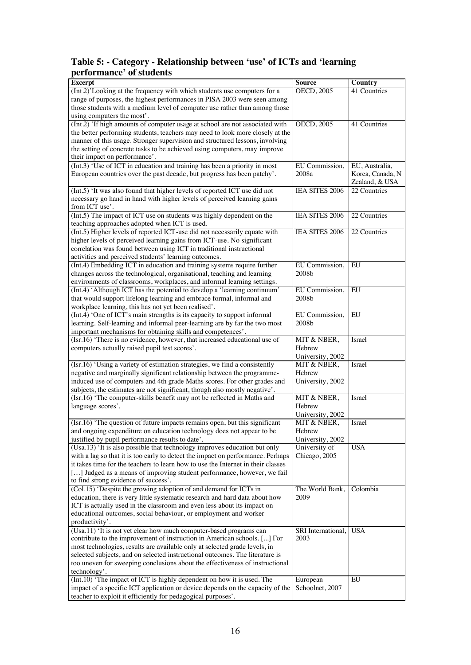# **Table 5: - Category - Relationship between 'use' of ICTs and 'learning performance' of students**

| <b>Excerpt</b>                                                                               | <b>Source</b>                   | Country                            |
|----------------------------------------------------------------------------------------------|---------------------------------|------------------------------------|
| (Int.2)'Looking at the frequency with which students use computers for a                     | OECD, 2005                      | 41 Countries                       |
| range of purposes, the highest performances in PISA 2003 were seen among                     |                                 |                                    |
| those students with a medium level of computer use rather than among those                   |                                 |                                    |
| using computers the most'.                                                                   |                                 |                                    |
| (Int.2) 'If high amounts of computer usage at school are not associated with                 | OECD, 2005                      | 41 Countries                       |
| the better performing students, teachers may need to look more closely at the                |                                 |                                    |
| manner of this usage. Stronger supervision and structured lessons, involving                 |                                 |                                    |
| the setting of concrete tasks to be achieved using computers, may improve                    |                                 |                                    |
| their impact on performance'.                                                                |                                 |                                    |
| (Int.3) 'Use of ICT in education and training has been a priority in most                    | EU Commission,                  | EU, Australia,                     |
| European countries over the past decade, but progress has been patchy'.                      | 2008a                           | Korea, Canada, N<br>Zealand, & USA |
| (Int.5) 'It was also found that higher levels of reported ICT use did not                    | <b>IEA SITES 2006</b>           | 22 Countries                       |
| necessary go hand in hand with higher levels of perceived learning gains                     |                                 |                                    |
| from ICT use'.                                                                               |                                 |                                    |
| (Int.5) The impact of ICT use on students was highly dependent on the                        | <b>IEA SITES 2006</b>           | 22 Countries                       |
| teaching approaches adopted when ICT is used.                                                |                                 |                                    |
| (Int.5) Higher levels of reported ICT-use did not necessarily equate with                    | IEA SITES 2006                  | 22 Countries                       |
| higher levels of perceived learning gains from ICT-use. No significant                       |                                 |                                    |
| correlation was found between using ICT in traditional instructional                         |                                 |                                    |
| activities and perceived students' learning outcomes.                                        |                                 |                                    |
| (Int.4) Embedding ICT in education and training systems require further                      | EU Commission,                  | EU                                 |
| changes across the technological, organisational, teaching and learning                      | 2008b                           |                                    |
| environments of classrooms, workplaces, and informal learning settings.                      |                                 |                                    |
| (Int.4) 'Although ICT has the potential to develop a 'learning continuum'                    | EU Commission,                  | EU                                 |
| that would support lifelong learning and embrace formal, informal and                        | 2008b                           |                                    |
| workplace learning, this has not yet been realised'.                                         |                                 |                                    |
| (Int.4) 'One of ICT's main strengths is its capacity to support informal                     | EU Commission,                  | EU                                 |
| learning. Self-learning and informal peer-learning are by far the two most                   | 2008b                           |                                    |
| important mechanisms for obtaining skills and competences'.                                  |                                 |                                    |
| (Isr.16) 'There is no evidence, however, that increased educational use of                   | MIT & NBER,                     | Israel                             |
| computers actually raised pupil test scores'.                                                | Hebrew                          |                                    |
|                                                                                              | University, 2002                |                                    |
| (Isr.16) 'Using a variety of estimation strategies, we find a consistently                   | MIT & NBER,                     | Israel                             |
| negative and marginally significant relationship between the programme-                      | Hebrew                          |                                    |
| induced use of computers and 4th grade Maths scores. For other grades and                    | University, 2002                |                                    |
| subjects, the estimates are not significant, though also mostly negative'.                   | MIT & NBER,                     |                                    |
| (Isr.16) 'The computer-skills benefit may not be reflected in Maths and<br>language scores'. | Hebrew                          | Israel                             |
|                                                                                              |                                 |                                    |
| (Isr.16) 'The question of future impacts remains open, but this significant                  | University, 2002<br>MIT & NBER, | Israel                             |
| and ongoing expenditure on education technology does not appear to be                        | Hebrew                          |                                    |
| justified by pupil performance results to date'.                                             | University, 2002                |                                    |
| (Usa.13) 'It is also possible that technology improves education but only                    | University of                   | <b>USA</b>                         |
| with a lag so that it is too early to detect the impact on performance. Perhaps              | Chicago, 2005                   |                                    |
| it takes time for the teachers to learn how to use the Internet in their classes             |                                 |                                    |
| [] Judged as a means of improving student performance, however, we fail                      |                                 |                                    |
| to find strong evidence of success'.                                                         |                                 |                                    |
| (Col.15) 'Despite the growing adoption of and demand for ICTs in                             | The World Bank,                 | Colombia                           |
| education, there is very little systematic research and hard data about how                  | 2009                            |                                    |
| ICT is actually used in the classroom and even less about its impact on                      |                                 |                                    |
| educational outcomes, social behaviour, or employment and worker                             |                                 |                                    |
| productivity'.                                                                               |                                 |                                    |
| (Usa.11) 'It is not yet clear how much computer-based programs can                           | SRI International,              | <b>USA</b>                         |
| contribute to the improvement of instruction in American schools. [] For                     | 2003                            |                                    |
| most technologies, results are available only at selected grade levels, in                   |                                 |                                    |
| selected subjects, and on selected instructional outcomes. The literature is                 |                                 |                                    |
| too uneven for sweeping conclusions about the effectiveness of instructional                 |                                 |                                    |
| technology'.                                                                                 |                                 |                                    |
| (Int.10) 'The impact of ICT is highly dependent on how it is used. The                       | European                        | EU                                 |
| impact of a specific ICT application or device depends on the capacity of the                | Schoolnet, 2007                 |                                    |
| teacher to exploit it efficiently for pedagogical purposes'.                                 |                                 |                                    |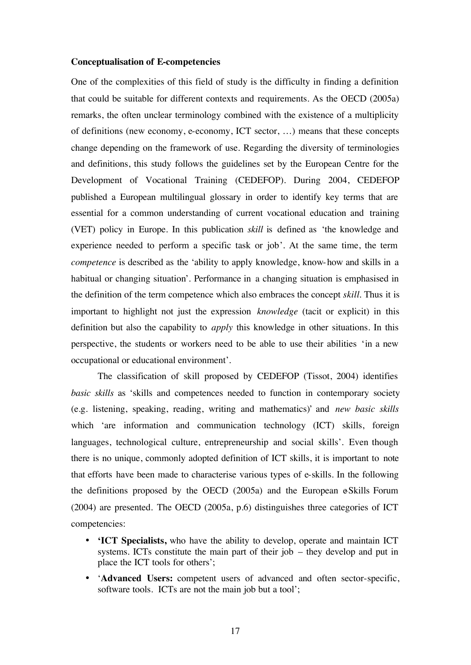#### **Conceptualisation of E-competencies**

One of the complexities of this field of study is the difficulty in finding a definition that could be suitable for different contexts and requirements. As the OECD (2005a) remarks, the often unclear terminology combined with the existence of a multiplicity of definitions (new economy, e-economy, ICT sector, …) means that these concepts change depending on the framework of use. Regarding the diversity of terminologies and definitions, this study follows the guidelines set by the European Centre for the Development of Vocational Training (CEDEFOP). During 2004, CEDEFOP published a European multilingual glossary in order to identify key terms that are essential for a common understanding of current vocational education and training (VET) policy in Europe. In this publication *skill* is defined as 'the knowledge and experience needed to perform a specific task or job'. At the same time, the term *competence* is described as the 'ability to apply knowledge, know-how and skills in a habitual or changing situation'. Performance in a changing situation is emphasised in the definition of the term competence which also embraces the concept *skill*. Thus it is important to highlight not just the expression *knowledge* (tacit or explicit) in this definition but also the capability to *apply* this knowledge in other situations. In this perspective, the students or workers need to be able to use their abilities 'in a new occupational or educational environment'.

The classification of skill proposed by CEDEFOP (Tissot, 2004) identifies *basic skills* as 'skills and competences needed to function in contemporary society (e.g. listening, speaking, reading, writing and mathematics)' and *new basic skills* which 'are information and communication technology (ICT) skills, foreign languages, technological culture, entrepreneurship and social skills'. Even though there is no unique, commonly adopted definition of ICT skills, it is important to note that efforts have been made to characterise various types of e-skills. In the following the definitions proposed by the OECD  $(2005a)$  and the European e-Skills Forum (2004) are presented. The OECD (2005a, p.6) distinguishes three categories of ICT competencies:

- **'ICT Specialists,** who have the ability to develop, operate and maintain ICT systems. ICTs constitute the main part of their job – they develop and put in place the ICT tools for others';
- '**Advanced Users:** competent users of advanced and often sector-specific, software tools. ICTs are not the main job but a tool';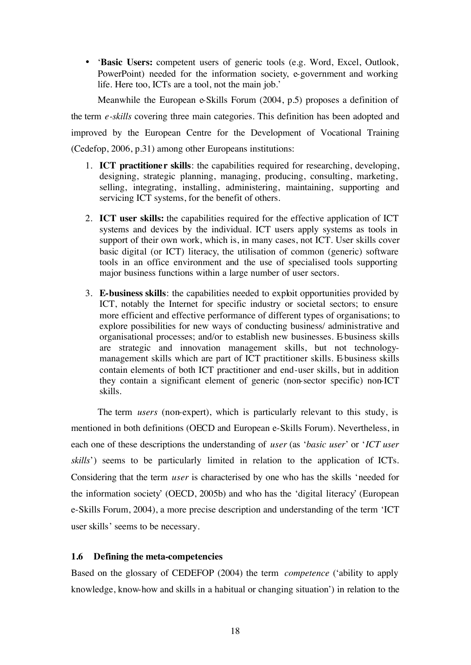• '**Basic Users:** competent users of generic tools (e.g. Word, Excel, Outlook, PowerPoint) needed for the information society, e-government and working life. Here too, ICTs are a tool, not the main job.'

Meanwhile the European e-Skills Forum (2004, p.5) proposes a definition of the term *e-skills* covering three main categories. This definition has been adopted and improved by the European Centre for the Development of Vocational Training (Cedefop, 2006, p.31) among other Europeans institutions:

- 1. **ICT practitioner skills**: the capabilities required for researching, developing, designing, strategic planning, managing, producing, consulting, marketing, selling, integrating, installing, administering, maintaining, supporting and servicing ICT systems, for the benefit of others.
- 2. **ICT user skills:** the capabilities required for the effective application of ICT systems and devices by the individual. ICT users apply systems as tools in support of their own work, which is, in many cases, not ICT. User skills cover basic digital (or ICT) literacy, the utilisation of common (generic) software tools in an office environment and the use of specialised tools supporting major business functions within a large number of user sectors.
- 3. **E-business skills**: the capabilities needed to exploit opportunities provided by ICT, notably the Internet for specific industry or societal sectors; to ensure more efficient and effective performance of different types of organisations; to explore possibilities for new ways of conducting business/ administrative and organisational processes; and/or to establish new businesses. E-business skills are strategic and innovation management skills, but not technologymanagement skills which are part of ICT practitioner skills. E-business skills contain elements of both ICT practitioner and end-user skills, but in addition they contain a significant element of generic (non-sector specific) non-ICT skills.

The term *users* (non-expert), which is particularly relevant to this study, is mentioned in both definitions (OECD and European e-Skills Forum). Nevertheless, in each one of these descriptions the understanding of *user* (as '*basic user*' or '*ICT user skills*') seems to be particularly limited in relation to the application of ICTs. Considering that the term *user* is characterised by one who has the skills 'needed for the information society' (OECD, 2005b) and who has the 'digital literacy' (European e-Skills Forum, 2004), a more precise description and understanding of the term 'ICT user skills' seems to be necessary.

### **1.6 Defining the meta-competencies**

Based on the glossary of CEDEFOP (2004) the term *competence* ('ability to apply knowledge, know-how and skills in a habitual or changing situation') in relation to the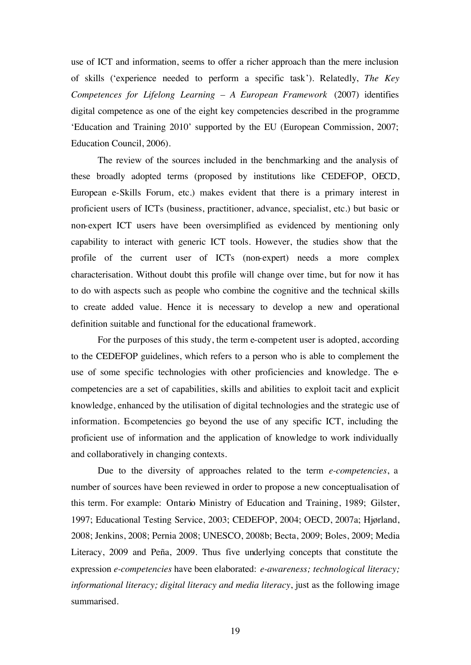use of ICT and information, seems to offer a richer approach than the mere inclusion of skills ('experience needed to perform a specific task'). Relatedly, *The Key Competences for Lifelong Learning – A European Framework* (2007) identifies digital competence as one of the eight key competencies described in the programme 'Education and Training 2010' supported by the EU (European Commission, 2007; Education Council, 2006).

The review of the sources included in the benchmarking and the analysis of these broadly adopted terms (proposed by institutions like CEDEFOP, OECD, European e-Skills Forum, etc.) makes evident that there is a primary interest in proficient users of ICTs (business, practitioner, advance, specialist, etc.) but basic or non-expert ICT users have been oversimplified as evidenced by mentioning only capability to interact with generic ICT tools. However, the studies show that the profile of the current user of ICTs (non-expert) needs a more complex characterisation. Without doubt this profile will change over time, but for now it has to do with aspects such as people who combine the cognitive and the technical skills to create added value. Hence it is necessary to develop a new and operational definition suitable and functional for the educational framework.

For the purposes of this study, the term e-competent user is adopted, according to the CEDEFOP guidelines, which refers to a person who is able to complement the use of some specific technologies with other proficiencies and knowledge. The ecompetencies are a set of capabilities, skills and abilities to exploit tacit and explicit knowledge, enhanced by the utilisation of digital technologies and the strategic use of information. Ecompetencies go beyond the use of any specific ICT, including the proficient use of information and the application of knowledge to work individually and collaboratively in changing contexts.

Due to the diversity of approaches related to the term *e-competencies*, a number of sources have been reviewed in order to propose a new conceptualisation of this term. For example: Ontario Ministry of Education and Training, 1989; Gilster, 1997; Educational Testing Service, 2003; CEDEFOP, 2004; OECD, 2007a; Hjørland, 2008; Jenkins, 2008; Pernia 2008; UNESCO, 2008b; Becta, 2009; Boles, 2009; Media Literacy, 2009 and Peña, 2009. Thus five underlying concepts that constitute the expression *e-competencies* have been elaborated: *e-awareness; technological literacy; informational literacy; digital literacy and media literacy*, just as the following image summarised.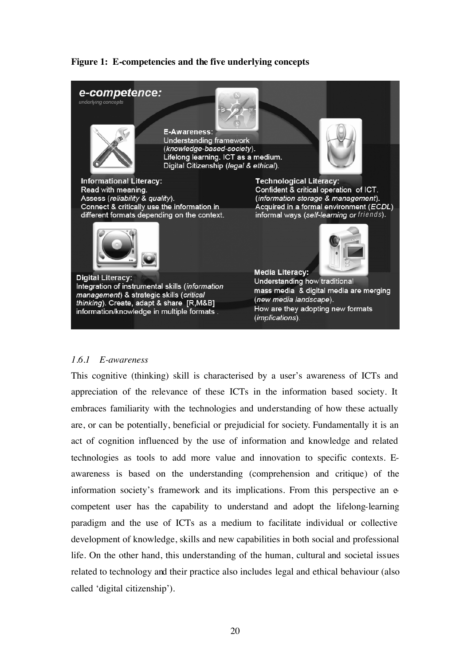# **Figure 1: E-competencies and the five underlying concepts**



## *1.6.1 E-awareness*

This cognitive (thinking) skill is characterised by a user's awareness of ICTs and appreciation of the relevance of these ICTs in the information based society. It embraces familiarity with the technologies and understanding of how these actually are, or can be potentially, beneficial or prejudicial for society. Fundamentally it is an act of cognition influenced by the use of information and knowledge and related technologies as tools to add more value and innovation to specific contexts. Eawareness is based on the understanding (comprehension and critique) of the information society's framework and its implications. From this perspective an ecompetent user has the capability to understand and adopt the lifelong-learning paradigm and the use of ICTs as a medium to facilitate individual or collective development of knowledge, skills and new capabilities in both social and professional life. On the other hand, this understanding of the human, cultural and societal issues related to technology and their practice also includes legal and ethical behaviour (also called 'digital citizenship').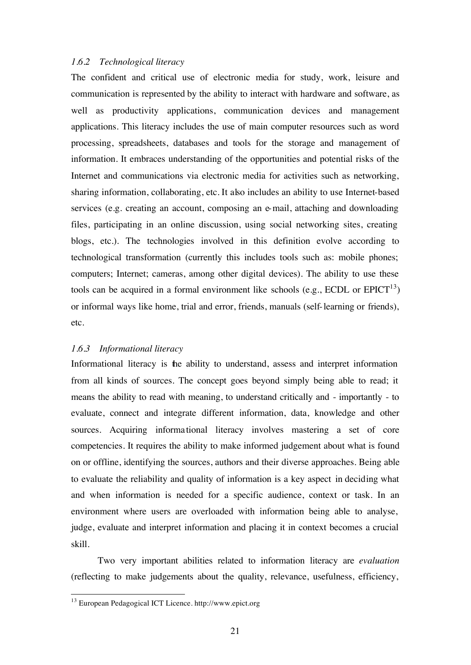## *1.6.2 Technological literacy*

The confident and critical use of electronic media for study, work, leisure and communication is represented by the ability to interact with hardware and software, as well as productivity applications, communication devices and management applications. This literacy includes the use of main computer resources such as word processing, spreadsheets, databases and tools for the storage and management of information. It embraces understanding of the opportunities and potential risks of the Internet and communications via electronic media for activities such as networking, sharing information, collaborating, etc. It also includes an ability to use Internet-based services (e.g. creating an account, composing an e-mail, attaching and downloading files, participating in an online discussion, using social networking sites, creating blogs, etc.). The technologies involved in this definition evolve according to technological transformation (currently this includes tools such as: mobile phones; computers; Internet; cameras, among other digital devices). The ability to use these tools can be acquired in a formal environment like schools (e.g., ECDL or  $EPICT^{13}$ ) or informal ways like home, trial and error, friends, manuals (self-learning or friends), etc.

## *1.6.3 Informational literacy*

Informational literacy is the ability to understand, assess and interpret information from all kinds of sources. The concept goes beyond simply being able to read; it means the ability to read with meaning, to understand critically and - importantly - to evaluate, connect and integrate different information, data, knowledge and other sources. Acquiring informa tional literacy involves mastering a set of core competencies. It requires the ability to make informed judgement about what is found on or offline, identifying the sources, authors and their diverse approaches. Being able to evaluate the reliability and quality of information is a key aspect in deciding what and when information is needed for a specific audience, context or task. In an environment where users are overloaded with information being able to analyse, judge, evaluate and interpret information and placing it in context becomes a crucial skill.

Two very important abilities related to information literacy are *evaluation* (reflecting to make judgements about the quality, relevance, usefulness, efficiency,

 <sup>13</sup> European Pedagogical ICT Licence. http://www.epict.org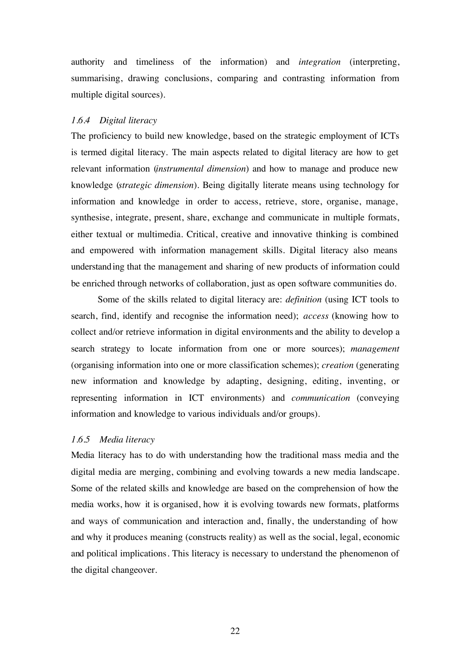authority and timeliness of the information) and *integration* (interpreting, summarising, drawing conclusions, comparing and contrasting information from multiple digital sources).

# *1.6.4 Digital literacy*

The proficiency to build new knowledge, based on the strategic employment of ICTs is termed digital literacy. The main aspects related to digital literacy are how to get relevant information (*instrumental dimension*) and how to manage and produce new knowledge (*strategic dimension*). Being digitally literate means using technology for information and knowledge in order to access, retrieve, store, organise, manage, synthesise, integrate, present, share, exchange and communicate in multiple formats, either textual or multimedia. Critical, creative and innovative thinking is combined and empowered with information management skills. Digital literacy also means understanding that the management and sharing of new products of information could be enriched through networks of collaboration, just as open software communities do.

Some of the skills related to digital literacy are: *definition* (using ICT tools to search, find, identify and recognise the information need); *access* (knowing how to collect and/or retrieve information in digital environments and the ability to develop a search strategy to locate information from one or more sources); *management* (organising information into one or more classification schemes); *creation* (generating new information and knowledge by adapting, designing, editing, inventing, or representing information in ICT environments) and *communication* (conveying information and knowledge to various individuals and/or groups).

### *1.6.5 Media literacy*

Media literacy has to do with understanding how the traditional mass media and the digital media are merging, combining and evolving towards a new media landscape. Some of the related skills and knowledge are based on the comprehension of how the media works, how it is organised, how it is evolving towards new formats, platforms and ways of communication and interaction and, finally, the understanding of how and why it produces meaning (constructs reality) as well as the social, legal, economic and political implications. This literacy is necessary to understand the phenomenon of the digital changeover.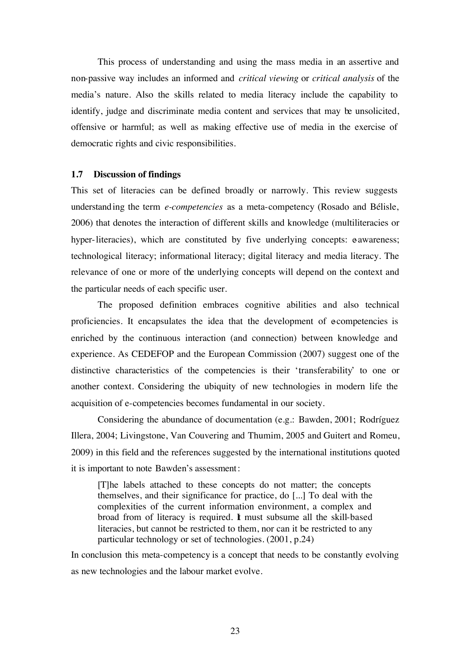This process of understanding and using the mass media in an assertive and non-passive way includes an informed and *critical viewing* or *critical analysis* of the media's nature. Also the skills related to media literacy include the capability to identify, judge and discriminate media content and services that may be unsolicited, offensive or harmful; as well as making effective use of media in the exercise of democratic rights and civic responsibilities.

#### **1.7 Discussion of findings**

This set of literacies can be defined broadly or narrowly. This review suggests understanding the term *e-competencies* as a meta-competency (Rosado and Bélisle, 2006) that denotes the interaction of different skills and knowledge (multiliteracies or hyper-literacies), which are constituted by five underlying concepts: e-awareness; technological literacy; informational literacy; digital literacy and media literacy. The relevance of one or more of the underlying concepts will depend on the context and the particular needs of each specific user.

The proposed definition embraces cognitive abilities and also technical proficiencies. It encapsulates the idea that the development of ecompetencies is enriched by the continuous interaction (and connection) between knowledge and experience. As CEDEFOP and the European Commission (2007) suggest one of the distinctive characteristics of the competencies is their 'transferability' to one or another context. Considering the ubiquity of new technologies in modern life the acquisition of e-competencies becomes fundamental in our society.

Considering the abundance of documentation (e.g.: Bawden, 2001; Rodríguez Illera, 2004; Livingstone, Van Couvering and Thumim, 2005 and Guitert and Romeu, 2009) in this field and the references suggested by the international institutions quoted it is important to note Bawden's assessment:

[T]he labels attached to these concepts do not matter; the concepts themselves, and their significance for practice, do [...] To deal with the complexities of the current information environment, a complex and broad from of literacy is required. It must subsume all the skill-based literacies, but cannot be restricted to them, nor can it be restricted to any particular technology or set of technologies. (2001, p.24)

In conclusion this meta-competency is a concept that needs to be constantly evolving as new technologies and the labour market evolve.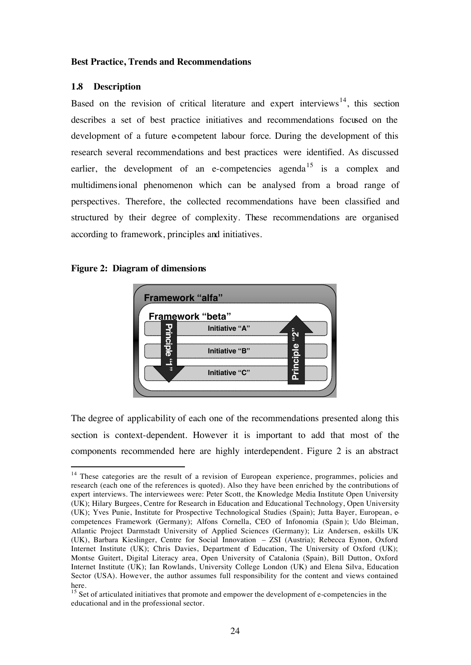#### **Best Practice, Trends and Recommendations**

## **1.8 Description**

Based on the revision of critical literature and expert interviews<sup>14</sup>, this section describes a set of best practice initiatives and recommendations focused on the development of a future e-competent labour force. During the development of this research several recommendations and best practices were identified. As discussed earlier, the development of an e-competencies agenda<sup>15</sup> is a complex and multidimensional phenomenon which can be analysed from a broad range of perspectives. Therefore, the collected recommendations have been classified and structured by their degree of complexity. These recommendations are organised according to framework, principles and initiatives.

## **Figure 2: Diagram of dimensions**



The degree of applicability of each one of the recommendations presented along this section is context-dependent. However it is important to add that most of the components recommended here are highly interdependent. Figure 2 is an abstract

<sup>&</sup>lt;sup>14</sup> These categories are the result of a revision of European experience, programmes, policies and research (each one of the references is quoted). Also they have been enriched by the contributions of expert interviews. The interviewees were: Peter Scott, the Knowledge Media Institute Open University (UK); Hilary Burgees, Centre for Research in Education and Educational Technology, Open University (UK); Yves Punie, Institute for Prospective Technological Studies (Spain); Jutta Bayer, European, ecompetences Framework (Germany); Alfons Cornella, CEO of Infonomia (Spain ); Udo Bleiman, Atlantic Project Darmstadt University of Applied Sciences (Germany); Liz Andersen, eskills UK (UK), Barbara Kieslinger, Centre for Social Innovation – ZSI (Austria); Rebecca Eynon, Oxford Internet Institute (UK); Chris Davies, Department of Education, The University of Oxford (UK); Montse Guitert, Digital Literacy area, Open University of Catalonia (Spain), Bill Dutton, Oxford Internet Institute (UK); Ian Rowlands, University College London (UK) and Elena Silva, Education Sector (USA). However, the author assumes full responsibility for the content and views contained here.

<sup>&</sup>lt;sup>15</sup> Set of articulated initiatives that promote and empower the development of e-competencies in the educational and in the professional sector.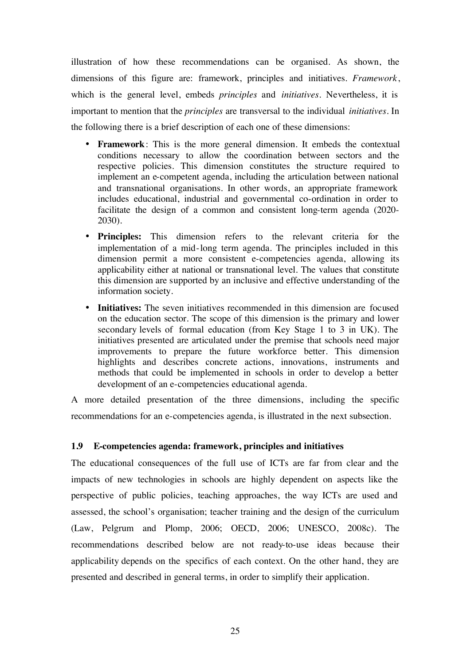illustration of how these recommendations can be organised. As shown, the dimensions of this figure are: framework, principles and initiatives. *Framework*, which is the general level, embeds *principles* and *initiatives*. Nevertheless, it is important to mention that the *principles* are transversal to the individual *initiatives*. In the following there is a brief description of each one of these dimensions:

- **Framework**: This is the more general dimension. It embeds the contextual conditions necessary to allow the coordination between sectors and the respective policies. This dimension constitutes the structure required to implement an e-competent agenda, including the articulation between national and transnational organisations. In other words, an appropriate framework includes educational, industrial and governmental co-ordination in order to facilitate the design of a common and consistent long-term agenda (2020- 2030).
- **Principles:** This dimension refers to the relevant criteria for the implementation of a mid-long term agenda. The principles included in this dimension permit a more consistent e-competencies agenda, allowing its applicability either at national or transnational level. The values that constitute this dimension are supported by an inclusive and effective understanding of the information society.
- **Initiatives:** The seven initiatives recommended in this dimension are focused on the education sector. The scope of this dimension is the primary and lower secondary levels of formal education (from Key Stage 1 to 3 in UK). The initiatives presented are articulated under the premise that schools need major improvements to prepare the future workforce better. This dimension highlights and describes concrete actions, innovations, instruments and methods that could be implemented in schools in order to develop a better development of an e-competencies educational agenda.

A more detailed presentation of the three dimensions, including the specific recommendations for an e-competencies agenda, is illustrated in the next subsection.

## **1.9 E-competencies agenda: framework, principles and initiatives**

The educational consequences of the full use of ICTs are far from clear and the impacts of new technologies in schools are highly dependent on aspects like the perspective of public policies, teaching approaches, the way ICTs are used and assessed, the school's organisation; teacher training and the design of the curriculum (Law, Pelgrum and Plomp, 2006; OECD, 2006; UNESCO, 2008c). The recommendations described below are not ready-to-use ideas because their applicability depends on the specifics of each context. On the other hand, they are presented and described in general terms, in order to simplify their application.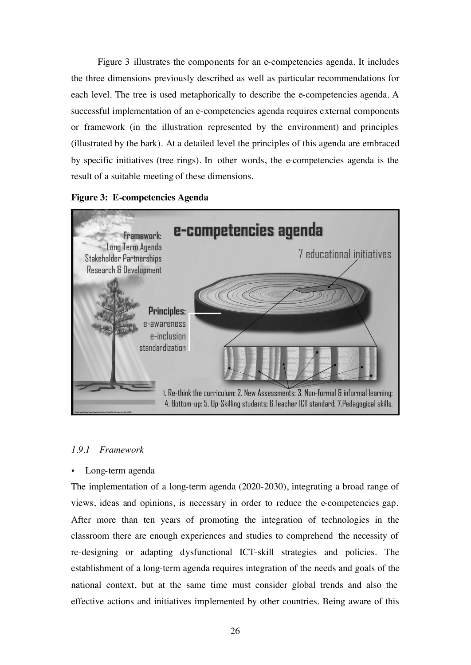Figure 3 illustrates the components for an e-competencies agenda. It includes the three dimensions previously described as well as particular recommendations for each level. The tree is used metaphorically to describe the e-competencies agenda. A successful implementation of an e-competencies agenda requires external components or framework (in the illustration represented by the environment) and principles (illustrated by the bark). At a detailed level the principles of this agenda are embraced by specific initiatives (tree rings). In other words, the e-competencies agenda is the result of a suitable meeting of these dimensions.



#### **Figure 3: E-competencies Agenda**

#### *1.9.1 Framework*

#### Long-term agenda

The implementation of a long-term agenda (2020-2030), integrating a broad range of views, ideas and opinions, is necessary in order to reduce the e-competencies gap. After more than ten years of promoting the integration of technologies in the classroom there are enough experiences and studies to comprehend the necessity of re-designing or adapting dysfunctional ICT-skill strategies and policies. The establishment of a long-term agenda requires integration of the needs and goals of the national context, but at the same time must consider global trends and also the effective actions and initiatives implemented by other countries. Being aware of this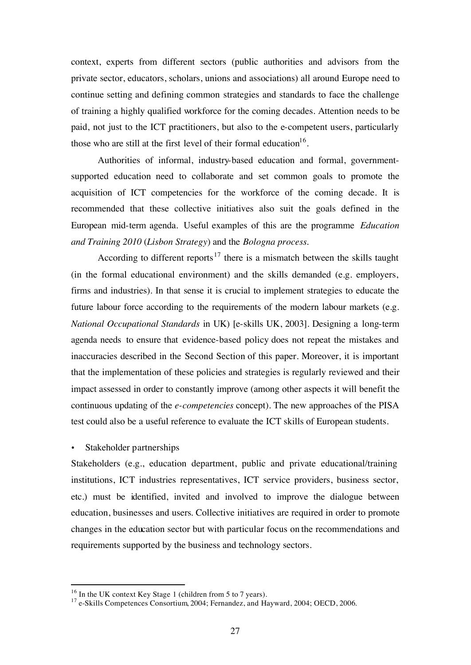context, experts from different sectors (public authorities and advisors from the private sector, educators, scholars, unions and associations) all around Europe need to continue setting and defining common strategies and standards to face the challenge of training a highly qualified workforce for the coming decades. Attention needs to be paid, not just to the ICT practitioners, but also to the e-competent users, particularly those who are still at the first level of their formal education<sup>16</sup>.

Authorities of informal, industry-based education and formal, governmentsupported education need to collaborate and set common goals to promote the acquisition of ICT competencies for the workforce of the coming decade. It is recommended that these collective initiatives also suit the goals defined in the European mid-term agenda. Useful examples of this are the programme *Education and Training 2010* (*Lisbon Strategy*) and the *Bologna process*.

According to different reports<sup>17</sup> there is a mismatch between the skills taught (in the formal educational environment) and the skills demanded (e.g. employers, firms and industries). In that sense it is crucial to implement strategies to educate the future labour force according to the requirements of the modern labour markets (e.g. *National Occupational Standards* in UK) [e-skills UK, 2003]. Designing a long-term agenda needs to ensure that evidence-based policy does not repeat the mistakes and inaccuracies described in the Second Section of this paper. Moreover, it is important that the implementation of these policies and strategies is regularly reviewed and their impact assessed in order to constantly improve (among other aspects it will benefit the continuous updating of the *e-competencies* concept). The new approaches of the PISA test could also be a useful reference to evaluate the ICT skills of European students.

# Stakeholder partnerships

Stakeholders (e.g., education department, public and private educational/training institutions, ICT industries representatives, ICT service providers, business sector, etc.) must be identified, invited and involved to improve the dialogue between education, businesses and users. Collective initiatives are required in order to promote changes in the education sector but with particular focus on the recommendations and requirements supported by the business and technology sectors.

<sup>&</sup>lt;sup>16</sup> In the UK context Key Stage 1 (children from 5 to 7 years).

<sup>&</sup>lt;sup>17</sup> e-Skills Competences Consortium, 2004; Fernandez, and Hayward, 2004; OECD, 2006.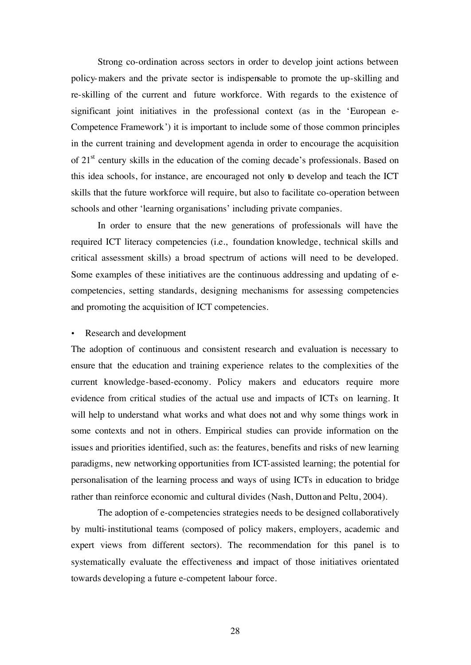Strong co-ordination across sectors in order to develop joint actions between policy-makers and the private sector is indispensable to promote the up-skilling and re-skilling of the current and future workforce. With regards to the existence of significant joint initiatives in the professional context (as in the 'European e-Competence Framework') it is important to include some of those common principles in the current training and development agenda in order to encourage the acquisition of 21<sup>st</sup> century skills in the education of the coming decade's professionals. Based on this idea schools, for instance, are encouraged not only to develop and teach the ICT skills that the future workforce will require, but also to facilitate co-operation between schools and other 'learning organisations' including private companies.

In order to ensure that the new generations of professionals will have the required ICT literacy competencies (i.e., foundation knowledge, technical skills and critical assessment skills) a broad spectrum of actions will need to be developed. Some examples of these initiatives are the continuous addressing and updating of ecompetencies, setting standards, designing mechanisms for assessing competencies and promoting the acquisition of ICT competencies.

#### • Research and development

The adoption of continuous and consistent research and evaluation is necessary to ensure that the education and training experience relates to the complexities of the current knowledge-based-economy. Policy makers and educators require more evidence from critical studies of the actual use and impacts of ICTs on learning. It will help to understand what works and what does not and why some things work in some contexts and not in others. Empirical studies can provide information on the issues and priorities identified, such as: the features, benefits and risks of new learning paradigms, new networking opportunities from ICT-assisted learning; the potential for personalisation of the learning process and ways of using ICTs in education to bridge rather than reinforce economic and cultural divides (Nash, Dutton and Peltu, 2004).

The adoption of e-competencies strategies needs to be designed collaboratively by multi-institutional teams (composed of policy makers, employers, academic and expert views from different sectors). The recommendation for this panel is to systematically evaluate the effectiveness and impact of those initiatives orientated towards developing a future e-competent labour force.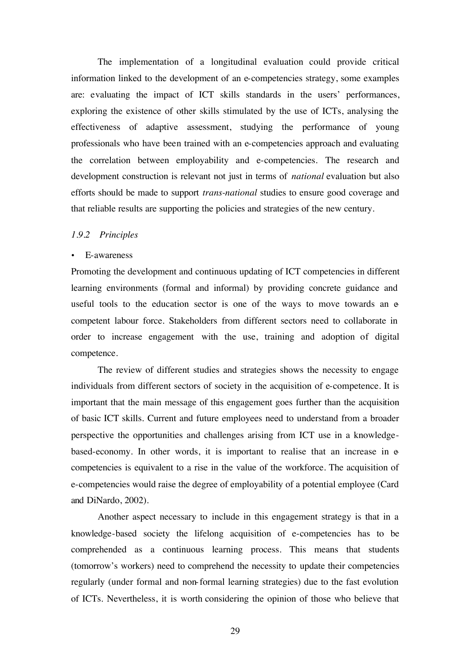The implementation of a longitudinal evaluation could provide critical information linked to the development of an e-competencies strategy, some examples are: evaluating the impact of ICT skills standards in the users' performances, exploring the existence of other skills stimulated by the use of ICTs, analysing the effectiveness of adaptive assessment, studying the performance of young professionals who have been trained with an e-competencies approach and evaluating the correlation between employability and e-competencies. The research and development construction is relevant not just in terms of *national* evaluation but also efforts should be made to support *trans-national* studies to ensure good coverage and that reliable results are supporting the policies and strategies of the new century.

#### *1.9.2 Principles*

#### • E-awareness

Promoting the development and continuous updating of ICT competencies in different learning environments (formal and informal) by providing concrete guidance and useful tools to the education sector is one of the ways to move towards an ecompetent labour force. Stakeholders from different sectors need to collaborate in order to increase engagement with the use, training and adoption of digital competence.

The review of different studies and strategies shows the necessity to engage individuals from different sectors of society in the acquisition of e-competence. It is important that the main message of this engagement goes further than the acquisition of basic ICT skills. Current and future employees need to understand from a broader perspective the opportunities and challenges arising from ICT use in a knowledgebased-economy. In other words, it is important to realise that an increase in ecompetencies is equivalent to a rise in the value of the workforce. The acquisition of e-competencies would raise the degree of employability of a potential employee (Card and DiNardo, 2002).

Another aspect necessary to include in this engagement strategy is that in a knowledge-based society the lifelong acquisition of e-competencies has to be comprehended as a continuous learning process. This means that students (tomorrow's workers) need to comprehend the necessity to update their competencies regularly (under formal and non-formal learning strategies) due to the fast evolution of ICTs. Nevertheless, it is worth considering the opinion of those who believe that

29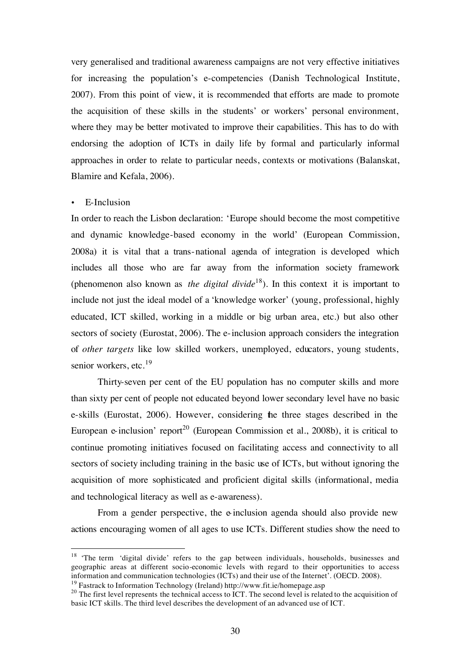very generalised and traditional awareness campaigns are not very effective initiatives for increasing the population's e-competencies (Danish Technological Institute, 2007). From this point of view, it is recommended that efforts are made to promote the acquisition of these skills in the students' or workers' personal environment, where they may be better motivated to improve their capabilities. This has to do with endorsing the adoption of ICTs in daily life by formal and particularly informal approaches in order to relate to particular needs, contexts or motivations (Balanskat, Blamire and Kefala, 2006).

#### • E-Inclusion

In order to reach the Lisbon declaration: 'Europe should become the most competitive and dynamic knowledge-based economy in the world' (European Commission, 2008a) it is vital that a trans-national agenda of integration is developed which includes all those who are far away from the information society framework (phenomenon also known as *the digital divide*18). In this context it is important to include not just the ideal model of a 'knowledge worker' (young, professional, highly educated, ICT skilled, working in a middle or big urban area, etc.) but also other sectors of society (Eurostat, 2006). The e-inclusion approach considers the integration of *other targets* like low skilled workers, unemployed, educators, young students, senior workers, etc.<sup>19</sup>

Thirty-seven per cent of the EU population has no computer skills and more than sixty per cent of people not educated beyond lower secondary level have no basic e-skills (Eurostat, 2006). However, considering the three stages described in the European e-inclusion' report<sup>20</sup> (European Commission et al., 2008b), it is critical to continue promoting initiatives focused on facilitating access and connectivity to all sectors of society including training in the basic use of ICTs, but without ignoring the acquisition of more sophisticated and proficient digital skills (informational, media and technological literacy as well as e-awareness).

From a gender perspective, the e-inclusion agenda should also provide new actions encouraging women of all ages to use ICTs. Different studies show the need to

<sup>&</sup>lt;sup>18</sup> 'The term 'digital divide' refers to the gap between individuals, households, businesses and geographic areas at different socio-economic levels with regard to their opportunities to access information and communication technologies (ICTs) and their use of the Internet'. (OECD. 2008).

<sup>19</sup> Fastrack to Information Technology (Ireland) http://www.fit.ie/homepage.asp

<sup>&</sup>lt;sup>20</sup> The first level represents the technical access to ICT. The second level is related to the acquisition of basic ICT skills. The third level describes the development of an advanced use of ICT.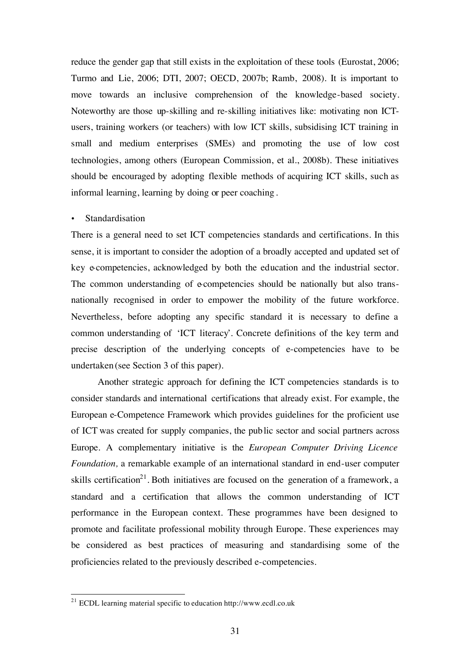reduce the gender gap that still exists in the exploitation of these tools (Eurostat, 2006; Turmo and Lie, 2006; DTI, 2007; OECD, 2007b; Ramb, 2008). It is important to move towards an inclusive comprehension of the knowledge-based society. Noteworthy are those up-skilling and re-skilling initiatives like: motivating non ICTusers, training workers (or teachers) with low ICT skills, subsidising ICT training in small and medium enterprises (SMEs) and promoting the use of low cost technologies, among others (European Commission, et al., 2008b). These initiatives should be encouraged by adopting flexible methods of acquiring ICT skills, such as informal learning, learning by doing or peer coaching .

### • Standardisation

There is a general need to set ICT competencies standards and certifications. In this sense, it is important to consider the adoption of a broadly accepted and updated set of key e-competencies, acknowledged by both the education and the industrial sector. The common understanding of e-competencies should be nationally but also transnationally recognised in order to empower the mobility of the future workforce. Nevertheless, before adopting any specific standard it is necessary to define a common understanding of 'ICT literacy'. Concrete definitions of the key term and precise description of the underlying concepts of e-competencies have to be undertaken (see Section 3 of this paper).

Another strategic approach for defining the ICT competencies standards is to consider standards and international certifications that already exist. For example, the European e-Competence Framework which provides guidelines for the proficient use of ICT was created for supply companies, the public sector and social partners across Europe. A complementary initiative is the *European Computer Driving Licence Foundation,* a remarkable example of an international standard in end-user computer skills certification<sup>21</sup>. Both initiatives are focused on the generation of a framework, a standard and a certification that allows the common understanding of ICT performance in the European context. These programmes have been designed to promote and facilitate professional mobility through Europe. These experiences may be considered as best practices of measuring and standardising some of the proficiencies related to the previously described e-competencies.

 $^{21}$  ECDL learning material specific to education http://www.ecdl.co.uk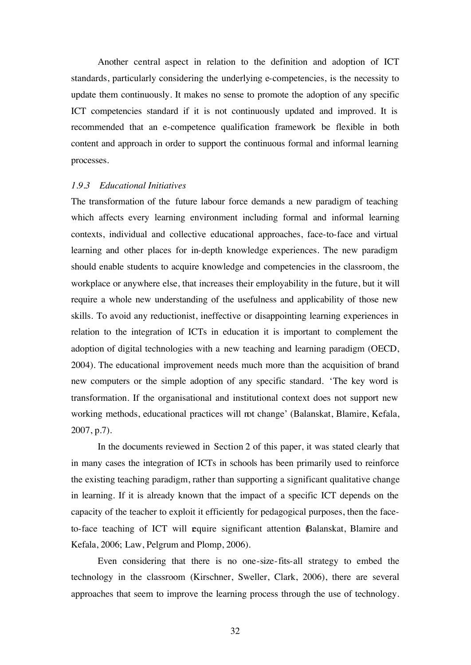Another central aspect in relation to the definition and adoption of ICT standards, particularly considering the underlying e-competencies, is the necessity to update them continuously. It makes no sense to promote the adoption of any specific ICT competencies standard if it is not continuously updated and improved. It is recommended that an e-competence qualification framework be flexible in both content and approach in order to support the continuous formal and informal learning processes.

# *1.9.3 Educational Initiatives*

The transformation of the future labour force demands a new paradigm of teaching which affects every learning environment including formal and informal learning contexts, individual and collective educational approaches, face-to-face and virtual learning and other places for in-depth knowledge experiences. The new paradigm should enable students to acquire knowledge and competencies in the classroom, the workplace or anywhere else, that increases their employability in the future, but it will require a whole new understanding of the usefulness and applicability of those new skills. To avoid any reductionist, ineffective or disappointing learning experiences in relation to the integration of ICTs in education it is important to complement the adoption of digital technologies with a new teaching and learning paradigm (OECD, 2004). The educational improvement needs much more than the acquisition of brand new computers or the simple adoption of any specific standard. 'The key word is transformation. If the organisational and institutional context does not support new working methods, educational practices will not change' (Balanskat, Blamire, Kefala, 2007, p.7).

In the documents reviewed in Section 2 of this paper, it was stated clearly that in many cases the integration of ICTs in schools has been primarily used to reinforce the existing teaching paradigm, rather than supporting a significant qualitative change in learning. If it is already known that the impact of a specific ICT depends on the capacity of the teacher to exploit it efficiently for pedagogical purposes, then the faceto-face teaching of ICT will equire significant attention Balanskat, Blamire and Kefala, 2006; Law, Pelgrum and Plomp, 2006).

Even considering that there is no one-size-fits-all strategy to embed the technology in the classroom (Kirschner, Sweller, Clark, 2006), there are several approaches that seem to improve the learning process through the use of technology.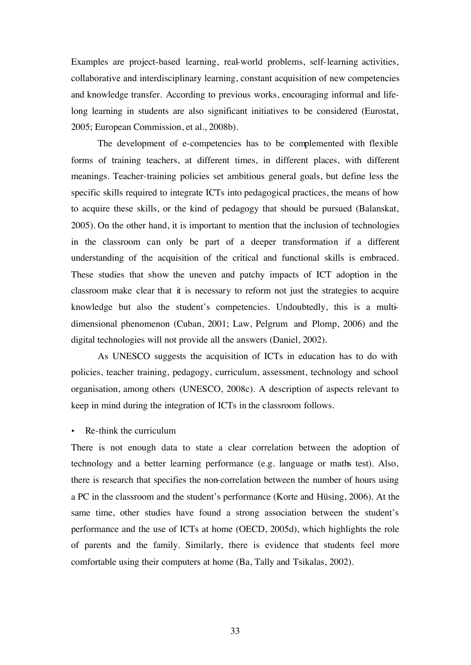Examples are project-based learning, real-world problems, self-learning activities, collaborative and interdisciplinary learning, constant acquisition of new competencies and knowledge transfer. According to previous works, encouraging informal and lifelong learning in students are also significant initiatives to be considered (Eurostat, 2005; European Commission, et al., 2008b).

The development of e-competencies has to be complemented with flexible forms of training teachers, at different times, in different places, with different meanings. Teacher-training policies set ambitious general goals, but define less the specific skills required to integrate ICTs into pedagogical practices, the means of how to acquire these skills, or the kind of pedagogy that should be pursued (Balanskat, 2005). On the other hand, it is important to mention that the inclusion of technologies in the classroom can only be part of a deeper transformation if a different understanding of the acquisition of the critical and functional skills is embraced. These studies that show the uneven and patchy impacts of ICT adoption in the classroom make clear that it is necessary to reform not just the strategies to acquire knowledge but also the student's competencies. Undoubtedly, this is a multidimensional phenomenon (Cuban, 2001; Law, Pelgrum and Plomp, 2006) and the digital technologies will not provide all the answers (Daniel, 2002).

As UNESCO suggests the acquisition of ICTs in education has to do with policies, teacher training, pedagogy, curriculum, assessment, technology and school organisation, among others (UNESCO, 2008c). A description of aspects relevant to keep in mind during the integration of ICTs in the classroom follows.

# • Re-think the curriculum

There is not enough data to state a clear correlation between the adoption of technology and a better learning performance (e.g. language or maths test). Also, there is research that specifies the non-correlation between the number of hours using a PC in the classroom and the student's performance (Korte and Hüsing, 2006). At the same time, other studies have found a strong association between the student's performance and the use of ICTs at home (OECD, 2005d), which highlights the role of parents and the family. Similarly, there is evidence that students feel more comfortable using their computers at home (Ba, Tally and Tsikalas, 2002).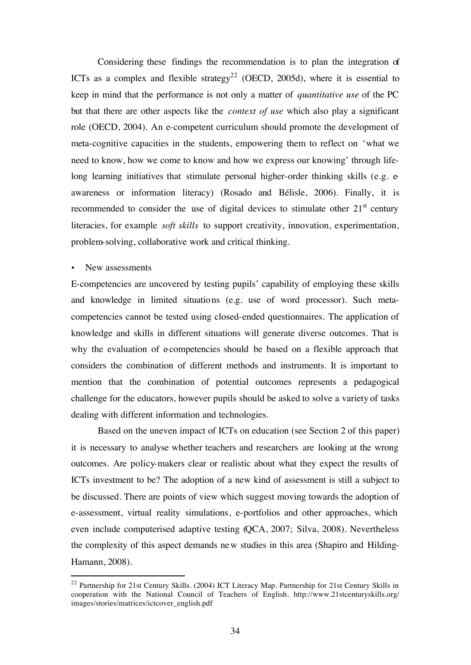Considering these findings the recommendation is to plan the integration of ICTs as a complex and flexible strategy<sup>22</sup> (OECD, 2005d), where it is essential to keep in mind that the performance is not only a matter of *quantitative use* of the PC but that there are other aspects like the *context of use* which also play a significant role (OECD, 2004). An e-competent curriculum should promote the development of meta-cognitive capacities in the students, empowering them to reflect on 'what we need to know, how we come to know and how we express our knowing' through lifelong learning initiatives that stimulate personal higher-order thinking skills (e.g. eawareness or information literacy) (Rosado and Bélisle, 2006). Finally, it is recommended to consider the use of digital devices to stimulate other  $21<sup>st</sup>$  century literacies, for example *soft skills* to support creativity, innovation, experimentation, problem-solving, collaborative work and critical thinking.

#### • New assessments

E-competencies are uncovered by testing pupils' capability of employing these skills and knowledge in limited situations (e.g. use of word processor). Such metacompetencies cannot be tested using closed-ended questionnaires. The application of knowledge and skills in different situations will generate diverse outcomes. That is why the evaluation of e-competencies should be based on a flexible approach that considers the combination of different methods and instruments. It is important to mention that the combination of potential outcomes represents a pedagogical challenge for the educators, however pupils should be asked to solve a variety of tasks dealing with different information and technologies.

Based on the uneven impact of ICTs on education (see Section 2 of this paper) it is necessary to analyse whether teachers and researchers are looking at the wrong outcomes. Are policy-makers clear or realistic about what they expect the results of ICTs investment to be? The adoption of a new kind of assessment is still a subject to be discussed. There are points of view which suggest moving towards the adoption of e-assessment, virtual reality simulations, e-portfolios and other approaches, which even include computerised adaptive testing (QCA, 2007; Silva, 2008). Nevertheless the complexity of this aspect demands new studies in this area (Shapiro and Hilding-Hamann, 2008).

<sup>&</sup>lt;sup>22</sup> Partnership for 21st Century Skills. (2004) ICT Literacy Map. Partnership for 21st Century Skills in cooperation with the National Council of Teachers of English. http://www.21stcenturyskills.org/ images/stories/matrices/ictcover\_english.pdf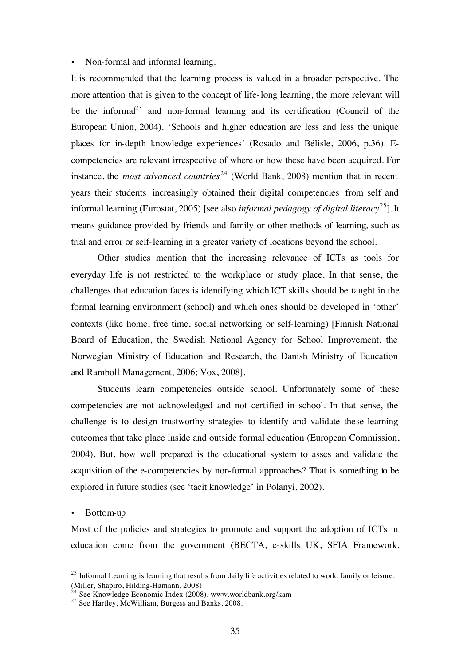#### • Non-formal and informal learning.

It is recommended that the learning process is valued in a broader perspective. The more attention that is given to the concept of life-long learning, the more relevant will be the informal<sup>23</sup> and non-formal learning and its certification (Council of the European Union, 2004). 'Schools and higher education are less and less the unique places for in-depth knowledge experiences' (Rosado and Bélisle, 2006, p.36). Ecompetencies are relevant irrespective of where or how these have been acquired. For instance, the *most advanced countries*<sup>24</sup> (World Bank, 2008) mention that in recent years their students increasingly obtained their digital competencies from self and informal learning (Eurostat, 2005) [see also *informal pedagogy of digital literacy*25]. It means guidance provided by friends and family or other methods of learning, such as trial and error or self-learning in a greater variety of locations beyond the school.

Other studies mention that the increasing relevance of ICTs as tools for everyday life is not restricted to the workplace or study place. In that sense, the challenges that education faces is identifying which ICT skills should be taught in the formal learning environment (school) and which ones should be developed in 'other' contexts (like home, free time, social networking or self-learning) [Finnish National Board of Education, the Swedish National Agency for School Improvement, the Norwegian Ministry of Education and Research, the Danish Ministry of Education and Ramboll Management, 2006; Vox, 2008].

Students learn competencies outside school. Unfortunately some of these competencies are not acknowledged and not certified in school. In that sense, the challenge is to design trustworthy strategies to identify and validate these learning outcomes that take place inside and outside formal education (European Commission, 2004). But, how well prepared is the educational system to asses and validate the acquisition of the e-competencies by non-formal approaches? That is something to be explored in future studies (see 'tacit knowledge' in Polanyi, 2002).

#### • Bottom-up

Most of the policies and strategies to promote and support the adoption of ICTs in education come from the government (BECTA, e-skills UK, SFIA Framework,

 $^{23}$  Informal Learning is learning that results from daily life activities related to work, family or leisure. (Miller, Shapiro, Hilding-Hamann, 2008)

<sup>&</sup>lt;sup>24</sup> See Knowledge Economic Index (2008). www.worldbank.org/kam <sup>25</sup> See Hartley, McWilliam, Burgess and Banks, 2008.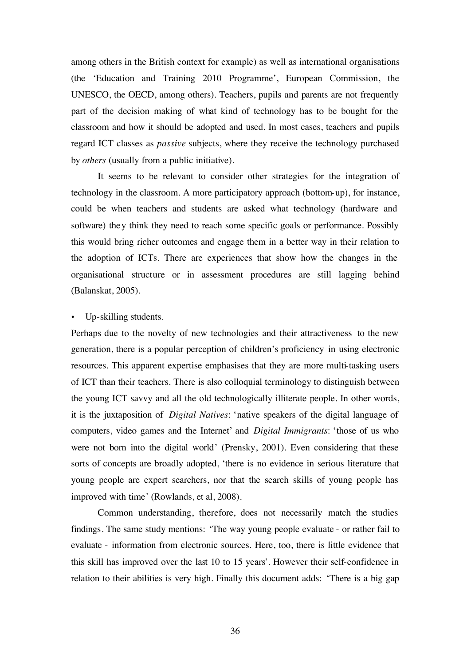among others in the British context for example) as well as international organisations (the 'Education and Training 2010 Programme', European Commission, the UNESCO, the OECD, among others). Teachers, pupils and parents are not frequently part of the decision making of what kind of technology has to be bought for the classroom and how it should be adopted and used. In most cases, teachers and pupils regard ICT classes as *passive* subjects, where they receive the technology purchased by *others* (usually from a public initiative).

It seems to be relevant to consider other strategies for the integration of technology in the classroom. A more participatory approach (bottom-up), for instance, could be when teachers and students are asked what technology (hardware and software) they think they need to reach some specific goals or performance. Possibly this would bring richer outcomes and engage them in a better way in their relation to the adoption of ICTs. There are experiences that show how the changes in the organisational structure or in assessment procedures are still lagging behind (Balanskat, 2005).

#### Up-skilling students.

Perhaps due to the novelty of new technologies and their attractiveness to the new generation, there is a popular perception of children's proficiency in using electronic resources. This apparent expertise emphasises that they are more multi-tasking users of ICT than their teachers. There is also colloquial terminology to distinguish between the young ICT savvy and all the old technologically illiterate people. In other words, it is the juxtaposition of *Digital Natives*: 'native speakers of the digital language of computers, video games and the Internet' and *Digital Immigrants*: 'those of us who were not born into the digital world' (Prensky, 2001). Even considering that these sorts of concepts are broadly adopted, 'there is no evidence in serious literature that young people are expert searchers, nor that the search skills of young people has improved with time' (Rowlands, et al, 2008).

Common understanding, therefore, does not necessarily match the studies findings. The same study mentions: 'The way young people evaluate - or rather fail to evaluate - information from electronic sources. Here, too, there is little evidence that this skill has improved over the last 10 to 15 years'. However their self-confidence in relation to their abilities is very high. Finally this document adds: 'There is a big gap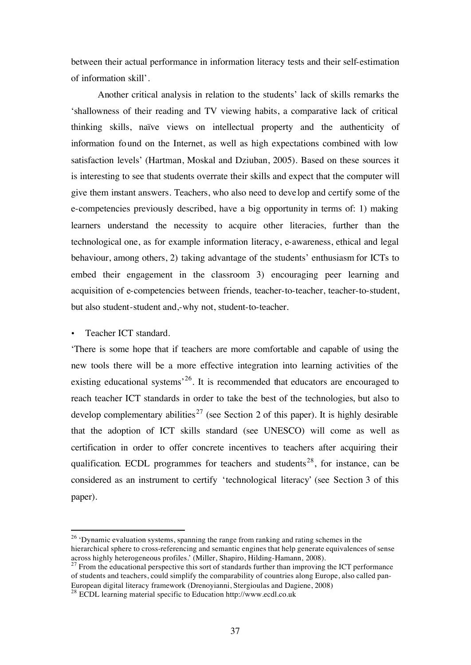between their actual performance in information literacy tests and their self-estimation of information skill'.

Another critical analysis in relation to the students' lack of skills remarks the 'shallowness of their reading and TV viewing habits, a comparative lack of critical thinking skills, naïve views on intellectual property and the authenticity of information found on the Internet, as well as high expectations combined with low satisfaction levels' (Hartman, Moskal and Dziuban, 2005). Based on these sources it is interesting to see that students overrate their skills and expect that the computer will give them instant answers. Teachers, who also need to deve lop and certify some of the e-competencies previously described, have a big opportunity in terms of: 1) making learners understand the necessity to acquire other literacies, further than the technological one, as for example information literacy, e-awareness, ethical and legal behaviour, among others, 2) taking advantage of the students' enthusiasm for ICTs to embed their engagement in the classroom 3) encouraging peer learning and acquisition of e-competencies between friends, teacher-to-teacher, teacher-to-student, but also student-student and,-why not, student-to-teacher.

• Teacher ICT standard.

'There is some hope that if teachers are more comfortable and capable of using the new tools there will be a more effective integration into learning activities of the existing educational systems<sup>, 26</sup>. It is recommended that educators are encouraged to reach teacher ICT standards in order to take the best of the technologies, but also to develop complementary abilities<sup>27</sup> (see Section 2 of this paper). It is highly desirable that the adoption of ICT skills standard (see UNESCO) will come as well as certification in order to offer concrete incentives to teachers after acquiring their qualification. ECDL programmes for teachers and students<sup>28</sup>, for instance, can be considered as an instrument to certify 'technological literacy' (see Section 3 of this paper).

 $26$  'Dynamic evaluation systems, spanning the range from ranking and rating schemes in the hierarchical sphere to cross-referencing and semantic engines that help generate equivalences of sense across highly heterogeneous profiles.' (Miller, Shapiro, Hilding-Hamann, 2008).

<sup>&</sup>lt;sup>27</sup> From the educational perspective this sort of standards further than improving the ICT performance of students and teachers, could simplify the comparability of countries along Europe, also called pan-European digital literacy framework (Drenoyianni, Stergioulas and Dagiene, 2008)

<sup>&</sup>lt;sup>28</sup> ECDL learning material specific to Education http://www.ecdl.co.uk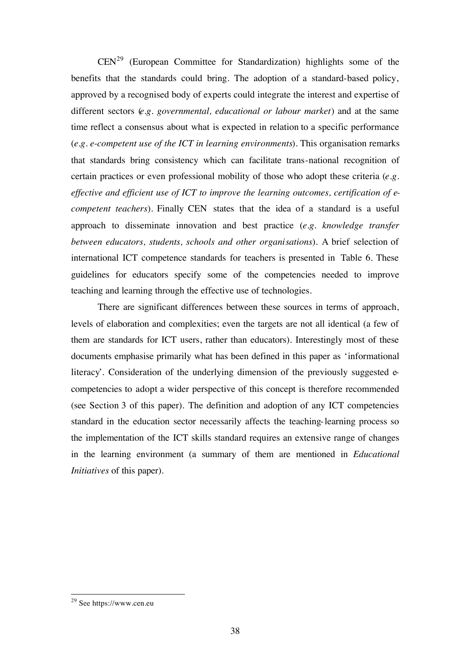CEN29 (European Committee for Standardization) highlights some of the benefits that the standards could bring. The adoption of a standard-based policy, approved by a recognised body of experts could integrate the interest and expertise of different sectors (*e.g. governmental, educational or labour market*) and at the same time reflect a consensus about what is expected in relation to a specific performance (*e.g. e-competent use of the ICT in learning environments*). This organisation remarks that standards bring consistency which can facilitate trans-national recognition of certain practices or even professional mobility of those who adopt these criteria (*e.g. effective and efficient use of ICT to improve the learning outcomes, certification of ecompetent teachers*). Finally CEN states that the idea of a standard is a useful approach to disseminate innovation and best practice (*e.g. knowledge transfer between educators, students, schools and other organisations*). A brief selection of international ICT competence standards for teachers is presented in Table 6. These guidelines for educators specify some of the competencies needed to improve teaching and learning through the effective use of technologies.

There are significant differences between these sources in terms of approach, levels of elaboration and complexities; even the targets are not all identical (a few of them are standards for ICT users, rather than educators). Interestingly most of these documents emphasise primarily what has been defined in this paper as 'informational literacy'. Consideration of the underlying dimension of the previously suggested ecompetencies to adopt a wider perspective of this concept is therefore recommended (see Section 3 of this paper). The definition and adoption of any ICT competencies standard in the education sector necessarily affects the teaching-learning process so the implementation of the ICT skills standard requires an extensive range of changes in the learning environment (a summary of them are mentioned in *Educational Initiatives* of this paper).

 <sup>29</sup> See https://www.cen.eu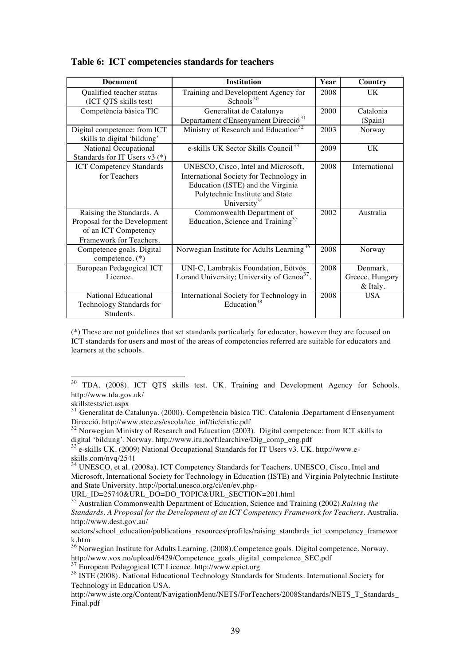| <b>Document</b>                                                                                             | <b>Institution</b>                                                                                                                                                                 |      | Country                                 |
|-------------------------------------------------------------------------------------------------------------|------------------------------------------------------------------------------------------------------------------------------------------------------------------------------------|------|-----------------------------------------|
| Qualified teacher status<br>(ICT QTS skills test)                                                           | Training and Development Agency for<br>Schools $30$                                                                                                                                | 2008 | UK                                      |
| Competència bàsica TIC                                                                                      | Generalitat de Catalunya<br>Departament d'Ensenyament Direcció <sup>31</sup>                                                                                                       | 2000 | Catalonia<br>(Spain)                    |
| Digital competence: from ICT<br>skills to digital 'bildung'                                                 | Ministry of Research and Education <sup>32</sup>                                                                                                                                   | 2003 | Norway                                  |
| National Occupational<br>Standards for IT Users $v3 (*)$                                                    | e-skills UK Sector Skills Council <sup>33</sup>                                                                                                                                    | 2009 | UK                                      |
| <b>ICT Competency Standards</b><br>for Teachers                                                             | UNESCO, Cisco, Intel and Microsoft,<br>International Society for Technology in<br>Education (ISTE) and the Virginia<br>Polytechnic Institute and State<br>University <sup>34</sup> | 2008 | International                           |
| Raising the Standards. A<br>Proposal for the Development<br>of an ICT Competency<br>Framework for Teachers. | Commonwealth Department of<br>Education, Science and Training <sup>35</sup>                                                                                                        | 2002 | Australia                               |
| Competence goals. Digital<br>competence. (*)                                                                | Norwegian Institute for Adults Learning <sup>36</sup>                                                                                                                              | 2008 | Norway                                  |
| European Pedagogical ICT<br>Licence.                                                                        | UNI-C, Lambrakis Foundation, Eötvös<br>Lorand University; University of Genoa <sup>37</sup> .                                                                                      | 2008 | Denmark,<br>Greece, Hungary<br>& Italy. |
| National Educational<br>Technology Standards for<br>Students.                                               | International Society for Technology in<br>Education <sup>38</sup>                                                                                                                 | 2008 | <b>USA</b>                              |

#### **Table 6: ICT competencies standards for teachers**

(\*) These are not guidelines that set standards particularly for educator, however they are focused on ICT standards for users and most of the areas of competencies referred are suitable for educators and learners at the schools.

URL\_ID=25740&URL\_DO=DO\_TOPIC&URL\_SECTION=201.html

 <sup>30</sup> TDA. (2008). ICT QTS skills test. UK. Training and Development Agency for Schools. http://www.tda.gov.uk/

skillstests/ict.aspx

<sup>&</sup>lt;sup>31</sup> Generalitat de Catalunya. (2000). Competència bàsica TIC. Catalonia .Departament d'Ensenyament Direcció. http://www.xtec.es/escola/tec\_inf/tic/eixtic.pdf

 $32$  Norwegian Ministry of Research and Education (2003). Digital competence: from ICT skills to digital 'bildung'. Norway. http://www.itu.no/filearchive/Dig\_comp\_eng.pdf

<sup>&</sup>lt;sup>33</sup> e-skills UK. (2009) National Occupational Standards for IT Users v3. UK. http://www.eskills.com/nvq/2541

<sup>&</sup>lt;sup>34</sup> UNESCO, et al. (2008a). ICT Competency Standards for Teachers. UNESCO, Cisco, Intel and Microsoft, International Society for Technology in Education (ISTE) and Virginia Polytechnic Institute and State University. http://portal.unesco.org/ci/en/ev.php-

<sup>35</sup> Australian Commonwealth Department of Education, Science and Training (2002).*Raising the Standards. A Proposal for the Development of an ICT Competency Framework for Teachers*. Australia. http://www.dest.gov.au/

sectors/school\_education/publications\_resources/profiles/raising\_standards\_ict\_competency\_framewor k.htm

<sup>36</sup> Norwegian Institute for Adults Learning. (2008).Competence goals. Digital competence. Norway. http://www.vox.no/upload/6429/Competence\_goals\_digital\_competence\_SEC.pdf  $37 \text{ European Pedagogical ICT License.}$  http://www.epict.org

<sup>&</sup>lt;sup>38</sup> ISTE (2008). National Educational Technology Standards for Students. International Society for Technology in Education USA.

http://www.iste.org/Content/NavigationMenu/NETS/ForTeachers/2008Standards/NETS\_T\_Standards Final.pdf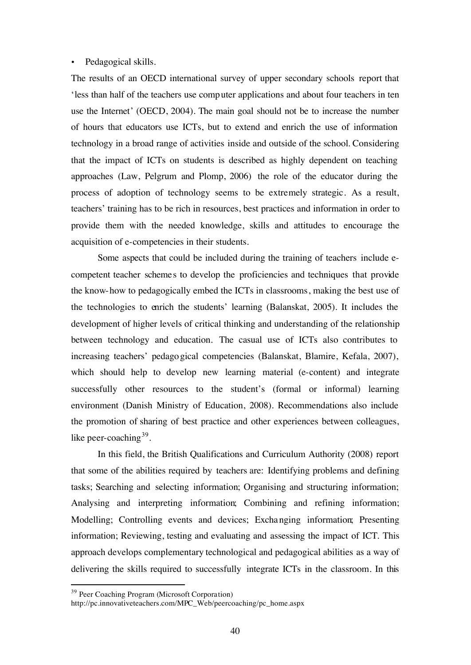#### • Pedagogical skills.

The results of an OECD international survey of upper secondary schools report that 'less than half of the teachers use computer applications and about four teachers in ten use the Internet' (OECD, 2004). The main goal should not be to increase the number of hours that educators use ICTs, but to extend and enrich the use of information technology in a broad range of activities inside and outside of the school. Considering that the impact of ICTs on students is described as highly dependent on teaching approaches (Law, Pelgrum and Plomp, 2006) the role of the educator during the process of adoption of technology seems to be extremely strategic. As a result, teachers' training has to be rich in resources, best practices and information in order to provide them with the needed knowledge, skills and attitudes to encourage the acquisition of e-competencies in their students.

Some aspects that could be included during the training of teachers include ecompetent teacher schemes to develop the proficiencies and techniques that provide the know-how to pedagogically embed the ICTs in classrooms, making the best use of the technologies to enrich the students' learning (Balanskat, 2005). It includes the development of higher levels of critical thinking and understanding of the relationship between technology and education. The casual use of ICTs also contributes to increasing teachers' pedagogical competencies (Balanskat, Blamire, Kefala, 2007), which should help to develop new learning material (e-content) and integrate successfully other resources to the student's (formal or informal) learning environment (Danish Ministry of Education, 2008). Recommendations also include the promotion of sharing of best practice and other experiences between colleagues, like peer-coaching  $39$ .

In this field, the British Qualifications and Curriculum Authority (2008) report that some of the abilities required by teachers are: Identifying problems and defining tasks; Searching and selecting information; Organising and structuring information; Analysing and interpreting information; Combining and refining information; Modelling; Controlling events and devices; Exchanging information; Presenting information; Reviewing, testing and evaluating and assessing the impact of ICT. This approach develops complementary technological and pedagogical abilities as a way of delivering the skills required to successfully integrate ICTs in the classroom. In this

 <sup>39</sup> Peer Coaching Program (Microsoft Corporation)

http://pc.innovativeteachers.com/MPC\_Web/peercoaching/pc\_home.aspx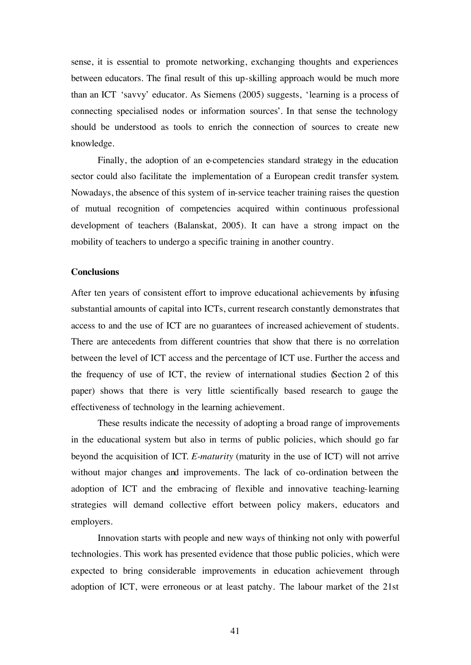sense, it is essential to promote networking, exchanging thoughts and experiences between educators. The final result of this up-skilling approach would be much more than an ICT 'savvy' educator. As Siemens (2005) suggests, 'learning is a process of connecting specialised nodes or information sources'. In that sense the technology should be understood as tools to enrich the connection of sources to create new knowledge.

Finally, the adoption of an e-competencies standard strategy in the education sector could also facilitate the implementation of a European credit transfer system. Nowadays, the absence of this system of in-service teacher training raises the question of mutual recognition of competencies acquired within continuous professional development of teachers (Balanskat, 2005). It can have a strong impact on the mobility of teachers to undergo a specific training in another country.

# **Conclusions**

After ten years of consistent effort to improve educational achievements by infusing substantial amounts of capital into ICTs, current research constantly demonstrates that access to and the use of ICT are no guarantees of increased achievement of students. There are antecedents from different countries that show that there is no correlation between the level of ICT access and the percentage of ICT use. Further the access and the frequency of use of ICT, the review of international studies (Section 2 of this paper) shows that there is very little scientifically based research to gauge the effectiveness of technology in the learning achievement.

These results indicate the necessity of adopting a broad range of improvements in the educational system but also in terms of public policies, which should go far beyond the acquisition of ICT. *E-maturity* (maturity in the use of ICT) will not arrive without major changes and improvements. The lack of co-ordination between the adoption of ICT and the embracing of flexible and innovative teaching-learning strategies will demand collective effort between policy makers, educators and employers.

Innovation starts with people and new ways of thinking not only with powerful technologies. This work has presented evidence that those public policies, which were expected to bring considerable improvements in education achievement through adoption of ICT, were erroneous or at least patchy. The labour market of the 21st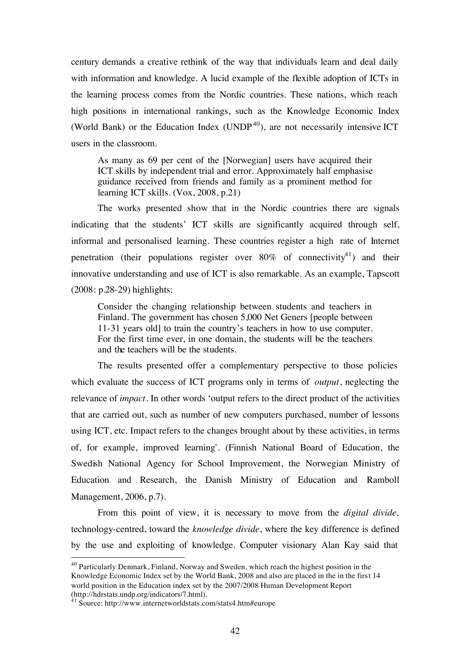century demands a creative rethink of the way that individuals learn and deal daily with information and knowledge. A lucid example of the flexible adoption of ICTs in the learning process comes from the Nordic countries. These nations, which reach high positions in international rankings, such as the Knowledge Economic Index (World Bank) or the Education Index (UNDP $40$ ), are not necessarily intensive ICT users in the classroom.

As many as 69 per cent of the [Norwegian] users have acquired their ICT skills by independent trial and error. Approximately half emphasise guidance received from friends and family as a prominent method for learning ICT skills. (Vox, 2008, p.21)

The works presented show that in the Nordic countries there are signals indicating that the students' ICT skills are significantly acquired through self, informal and personalised learning. These countries register a high rate of Internet penetration (their populations register over  $80\%$  of connectivity<sup>41</sup>) and their innovative understanding and use of ICT is also remarkable. As an example, Tapscott (2008: p.28-29) highlights:

Consider the changing relationship between students and teachers in Finland. The government has chosen 5,000 Net Geners [people between 11-31 years old] to train the country's teachers in how to use computer. For the first time ever, in one domain, the students will be the teachers and the teachers will be the students.

The results presented offer a complementary perspective to those policies which evaluate the success of ICT programs only in terms of *output*, neglecting the relevance of *impact*. In other words 'output refers to the direct product of the activities that are carried out, such as number of new computers purchased, number of lessons using ICT, etc. Impact refers to the changes brought about by these activities, in terms of, for example, improved learning'. (Finnish National Board of Education, the Swedish National Agency for School Improvement, the Norwegian Ministry of Education and Research, the Danish Ministry of Education and Ramboll Management, 2006, p.7).

From this point of view, it is necessary to move from the *digital divide,* technology-centred, toward the *knowledge divide*, where the key difference is defined by the use and exploiting of knowledge. Computer visionary Alan Kay said that

<sup>&</sup>lt;sup>40</sup> Particularly Denmark, Finland, Norway and Sweden, which reach the highest position in the Knowledge Economic Index set by the World Bank, 2008 and also are placed in the in the first 14 world position in the Education index set by the 2007/2008 Human Development Report (http://hdrstats.undp.org/indicators/7.html).

<sup>&</sup>lt;sup>41</sup> Source: http://www.internetworldstats.com/stats4.htm#europe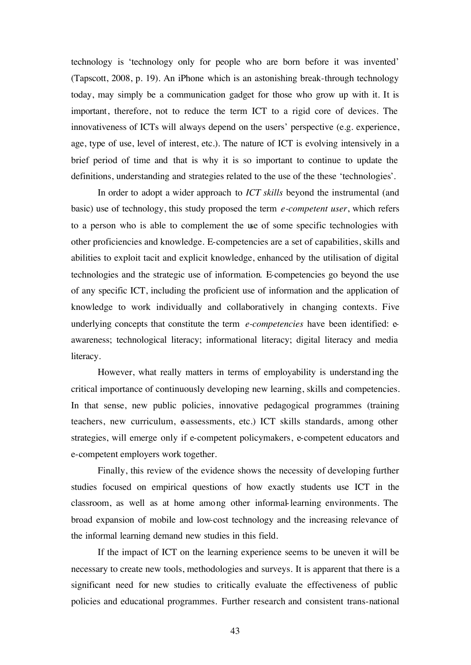technology is 'technology only for people who are born before it was invented' (Tapscott, 2008, p. 19). An iPhone which is an astonishing break-through technology today, may simply be a communication gadget for those who grow up with it. It is important, therefore, not to reduce the term ICT to a rigid core of devices. The innovativeness of ICTs will always depend on the users' perspective (e.g. experience, age, type of use, level of interest, etc.). The nature of ICT is evolving intensively in a brief period of time and that is why it is so important to continue to update the definitions, understanding and strategies related to the use of the these 'technologies'.

In order to adopt a wider approach to *ICT skills* beyond the instrumental (and basic) use of technology, this study proposed the term *e-competent user*, which refers to a person who is able to complement the use of some specific technologies with other proficiencies and knowledge. E-competencies are a set of capabilities, skills and abilities to exploit tacit and explicit knowledge, enhanced by the utilisation of digital technologies and the strategic use of information. E-competencies go beyond the use of any specific ICT, including the proficient use of information and the application of knowledge to work individually and collaboratively in changing contexts. Five underlying concepts that constitute the term *e-competencies* have been identified: eawareness; technological literacy; informational literacy; digital literacy and media literacy.

However, what really matters in terms of employability is understand ing the critical importance of continuously developing new learning, skills and competencies. In that sense, new public policies, innovative pedagogical programmes (training teachers, new curriculum, e-assessments, etc.) ICT skills standards, among other strategies, will emerge only if e-competent policymakers, e-competent educators and e-competent employers work together.

Finally, this review of the evidence shows the necessity of developing further studies focused on empirical questions of how exactly students use ICT in the classroom, as well as at home among other informal-learning environments. The broad expansion of mobile and low-cost technology and the increasing relevance of the informal learning demand new studies in this field.

If the impact of ICT on the learning experience seems to be uneven it will be necessary to create new tools, methodologies and surveys. It is apparent that there is a significant need for new studies to critically evaluate the effectiveness of public policies and educational programmes. Further research and consistent trans-national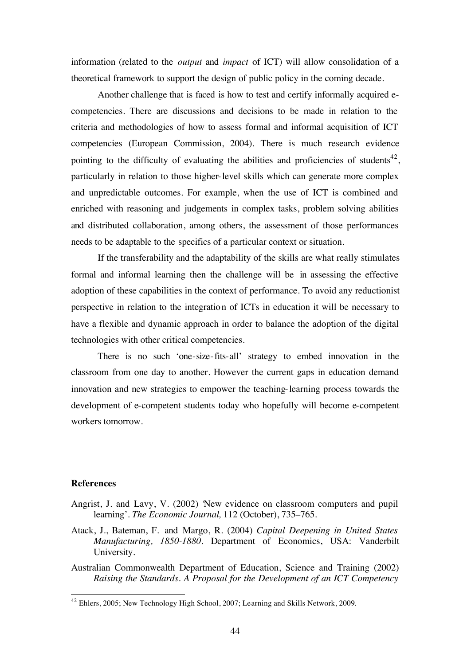information (related to the *output* and *impact* of ICT) will allow consolidation of a theoretical framework to support the design of public policy in the coming decade.

Another challenge that is faced is how to test and certify informally acquired ecompetencies. There are discussions and decisions to be made in relation to the criteria and methodologies of how to assess formal and informal acquisition of ICT competencies (European Commission, 2004). There is much research evidence pointing to the difficulty of evaluating the abilities and proficiencies of students<sup>42</sup>, particularly in relation to those higher-level skills which can generate more complex and unpredictable outcomes. For example, when the use of ICT is combined and enriched with reasoning and judgements in complex tasks, problem solving abilities and distributed collaboration, among others, the assessment of those performances needs to be adaptable to the specifics of a particular context or situation.

If the transferability and the adaptability of the skills are what really stimulates formal and informal learning then the challenge will be in assessing the effective adoption of these capabilities in the context of performance. To avoid any reductionist perspective in relation to the integration of ICTs in education it will be necessary to have a flexible and dynamic approach in order to balance the adoption of the digital technologies with other critical competencies.

There is no such 'one-size-fits-all' strategy to embed innovation in the classroom from one day to another. However the current gaps in education demand innovation and new strategies to empower the teaching-learning process towards the development of e-competent students today who hopefully will become e-competent workers tomorrow.

# **References**

- Angrist, J. and Lavy, V. (2002) New evidence on classroom computers and pupil learning'. *The Economic Journal,* 112 (October), 735–765.
- Atack, J., Bateman, F. and Margo, R. (2004) *Capital Deepening in United States Manufacturing, 1850-1880*. Department of Economics, USA: Vanderbilt University.
- Australian Commonwealth Department of Education, Science and Training (2002) *Raising the Standards. A Proposal for the Development of an ICT Competency*

 <sup>42</sup> Ehlers, 2005; New Technology High School, 2007; Learning and Skills Network, 2009.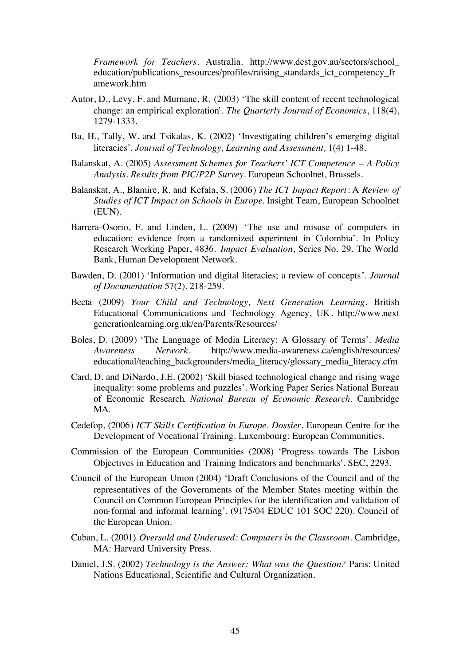*Framework for Teachers*. Australia. http://www.dest.gov.au/sectors/school\_ education/publications\_resources/profiles/raising\_standards\_ict\_competency\_fr amework.htm

- Autor, D., Levy, F. and Murnane, R. (2003) 'The skill content of recent technological change: an empirical exploration'. *The Quarterly Journal of Economics*, 118(4), 1279-1333.
- Ba, H., Tally, W. and Tsikalas, K. (2002) 'Investigating children's emerging digital literacies'. *Journal of Technology, Learning and Assessment,* 1(4) 1-48.
- Balanskat, A. (2005) *Assessment Schemes for Teachers' ICT Competence A Policy Analysis. Results from PIC/P2P Survey*. European Schoolnet, Brussels.
- Balanskat, A., Blamire, R. and Kefala, S. (2006) *The ICT Impact Report*: A *Review of Studies of ICT Impact on Schools in Europe*. Insight Team, European Schoolnet (EUN).
- Barrera-Osorio, F. and Linden, L. (2009) 'The use and misuse of computers in education: evidence from a randomized experiment in Colombia'. In Policy Research Working Paper, 4836. *Impact Evaluation*, Series No. 29. The World Bank, Human Development Network.
- Bawden, D. (2001) 'Information and digital literacies; a review of concepts'. *Journal of Documentation* 57(2), 218-259.
- Becta (2009) *Your Child and Technology, Next Generation Learning.* British Educational Communications and Technology Agency, UK. http://www.next generationlearning.org.uk/en/Parents/Resources/
- Boles, D. (2009) 'The Language of Media Literacy: A Glossary of Terms'. *Media Awareness Network*. http://www.media-awareness.ca/english/resources/ educational/teaching\_backgrounders/media\_literacy/glossary\_media\_literacy.cfm
- Card, D. and DiNardo, J.E. (2002) 'Skill biased technological change and rising wage inequality: some problems and puzzles'. Working Paper Series National Bureau of Economic Research*. National Bureau of Economic Research*. Cambridge MA.
- Cedefop, (2006) *ICT Skills Certification in Europe. Dossier*. European Centre for the Development of Vocational Training. Luxembourg: European Communities.
- Commission of the European Communities (2008) 'Progress towards The Lisbon Objectives in Education and Training Indicators and benchmarks'. SEC, 2293.
- Council of the European Union (2004) 'Draft Conclusions of the Council and of the representatives of the Governments of the Member States meeting within the Council on Common European Principles for the identification and validation of non-formal and informal learning'. (9175/04 EDUC 101 SOC 220). Council of the European Union.
- Cuban, L. (2001) *Oversold and Underused: Computers in the Classroom*. Cambridge, MA: Harvard University Press.
- Daniel, J.S. (2002) *Technology is the Answer: What was the Question?* Paris: United Nations Educational, Scientific and Cultural Organization.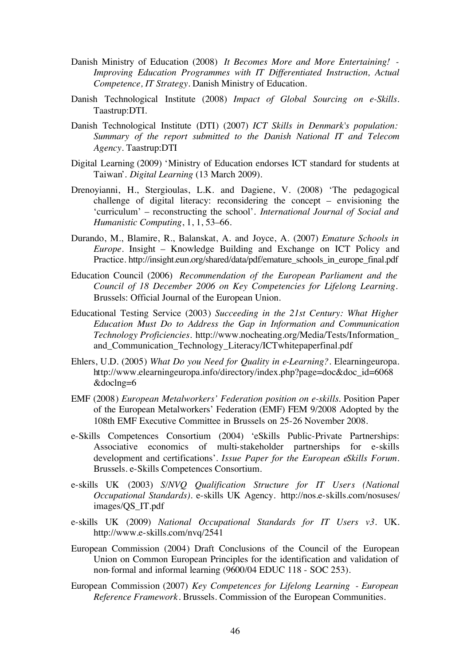- Danish Ministry of Education (2008) *It Becomes More and More Entertaining! - Improving Education Programmes with IT Differentiated Instruction, Actual Competence, IT Strategy*. Danish Ministry of Education.
- Danish Technological Institute (2008) *Impact of Global Sourcing on e-Skills*. Taastrup:DTI.
- Danish Technological Institute (DTI) (2007) *ICT Skills in Denmark's population: Summary of the report submitted to the Danish National IT and Telecom Agency*. Taastrup:DTI
- Digital Learning (2009) 'Ministry of Education endorses ICT standard for students at Taiwan'. *Digital Learning* (13 March 2009).
- Drenoyianni, H., Stergioulas, L.K. and Dagiene, V. (2008) 'The pedagogical challenge of digital literacy: reconsidering the concept – envisioning the 'curriculum' – reconstructing the school'. *International Journal of Social and Humanistic Computing*, 1, 1, 53–66.
- Durando, M., Blamire, R., Balanskat, A. and Joyce, A. (2007) *Emature Schools in Europe*. Insight – Knowledge Building and Exchange on ICT Policy and Practice. http://insight.eun.org/shared/data/pdf/emature\_schools\_in\_europe\_final.pdf
- Education Council (2006) *Recommendation of the European Parliament and the Council of 18 December 2006 on Key Competencies for Lifelong Learning.*  Brussels: Official Journal of the European Union.
- Educational Testing Service (2003) *Succeeding in the 21st Century: What Higher Education Must Do to Address the Gap in Information and Communication Technology Proficiencies.* http://www.nocheating.org/Media/Tests/Information\_ and\_Communication\_Technology\_Literacy/ICTwhitepaperfinal.pdf
- Ehlers, U.D. (2005) *What Do you Need for Quality in e-Learning?*. Elearningeuropa. http://www.elearningeuropa.info/directory/index.php?page=doc&doc\_id=6068 &doclng=6
- EMF (2008) *European Metalworkers' Federation position on e-skills*. Position Paper of the European Metalworkers' Federation (EMF) FEM 9/2008 Adopted by the 108th EMF Executive Committee in Brussels on 25-26 November 2008.
- e-Skills Competences Consortium (2004) 'eSkills Public-Private Partnerships: Associative economics of multi-stakeholder partnerships for e-skills development and certifications'. *Issue Paper for the European eSkills Forum*. Brussels. e-Skills Competences Consortium.
- e-skills UK (2003) *S/NVQ Qualification Structure for IT Users (National Occupational Standards).* e-skills UK Agency. http://nos.e-skills.com/nosuses/ images/QS\_IT.pdf
- e-skills UK (2009) *National Occupational Standards for IT Users v3.* UK. http://www.e-skills.com/nvq/2541
- European Commission (2004) Draft Conclusions of the Council of the European Union on Common European Principles for the identification and validation of non-formal and informal learning (9600/04 EDUC 118 - SOC 253).
- European Commission (2007) *Key Competences for Lifelong Learning European Reference Framework*. Brussels. Commission of the European Communities.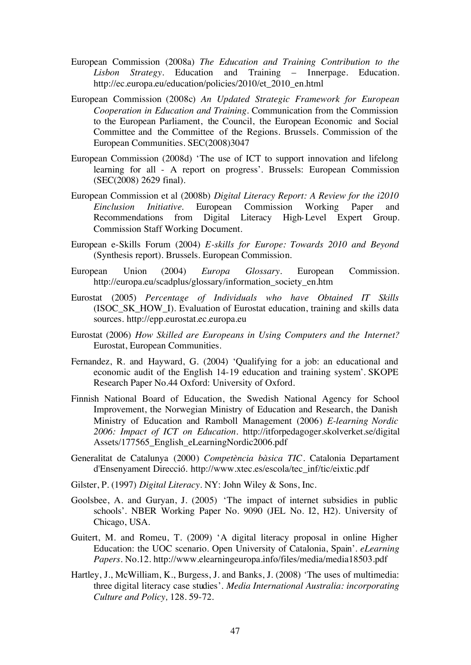- European Commission (2008a) *The Education and Training Contribution to the Lisbon Strategy*. Education and Training – Innerpage. Education. http://ec.europa.eu/education/policies/2010/et\_2010\_en.html
- European Commission (2008c) *An Updated Strategic Framework for European Cooperation in Education and Training*. Communication from the Commission to the European Parliament, the Council, the European Economic and Social Committee and the Committee of the Regions. Brussels. Commission of the European Communities. SEC(2008)3047
- European Commission (2008d) 'The use of ICT to support innovation and lifelong learning for all - A report on progress'. Brussels: European Commission (SEC(2008) 2629 final).
- European Commission et al (2008b) *Digital Literacy Report: A Review for the i2010 Einclusion Initiative*. European Commission Working Paper and Recommendations from Digital Literacy High-Level Expert Group. Commission Staff Working Document.
- European e-Skills Forum (2004) *E-skills for Europe: Towards 2010 and Beyond* (Synthesis report). Brussels. European Commission.
- European Union (2004) *Europa Glossary*. European Commission. http://europa.eu/scadplus/glossary/information\_society\_en.htm
- Eurostat (2005) *Percentage of Individuals who have Obtained IT Skills* (ISOC\_SK\_HOW\_I). Evaluation of Eurostat education, training and skills data sources. http://epp.eurostat.ec.europa.eu
- Eurostat (2006) *How Skilled are Europeans in Using Computers and the Internet?* Eurostat, European Communities.
- Fernandez, R. and Hayward, G. (2004) 'Qualifying for a job: an educational and economic audit of the English 14-19 education and training system'. SKOPE Research Paper No.44 Oxford: University of Oxford.
- Finnish National Board of Education, the Swedish National Agency for School Improvement, the Norwegian Ministry of Education and Research, the Danish Ministry of Education and Ramboll Management (2006) *E-learning Nordic 2006: Impact of ICT on Education*. http://itforpedagoger.skolverket.se/digital Assets/177565\_English\_eLearningNordic2006.pdf
- Generalitat de Catalunya (2000) *Competència bàsica TIC*. Catalonia Departament d'Ensenyament Direcció. http://www.xtec.es/escola/tec\_inf/tic/eixtic.pdf
- Gilster, P. (1997) *Digital Literacy*. NY: John Wiley & Sons, Inc.
- Goolsbee, A. and Guryan, J. (2005) 'The impact of internet subsidies in public schools'. NBER Working Paper No. 9090 (JEL No. I2, H2). University of Chicago, USA.
- Guitert, M. and Romeu, T. (2009) 'A digital literacy proposal in online Higher Education: the UOC scenario. Open University of Catalonia, Spain'. *eLearning Papers*. No.12. http://www.elearningeuropa.info/files/media/media18503.pdf
- Hartley, J., McWilliam, K., Burgess, J. and Banks, J. (2008) *'*The uses of multimedia: three digital literacy case studies'*. Media International Australia: incorporating Culture and Policy,* 128. 59-72.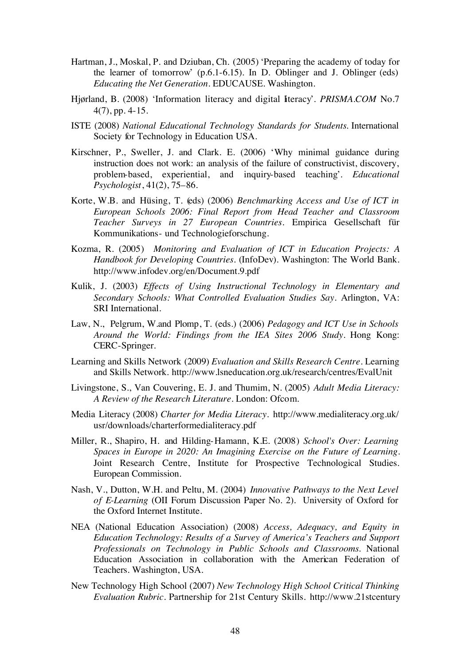- Hartman, J., Moskal, P. and Dziuban, Ch. (2005) 'Preparing the academy of today for the learner of tomorrow' (p.6.1-6.15). In D. Oblinger and J. Oblinger (eds) *Educating the Net Generation*. EDUCAUSE. Washington.
- Hjørland, B. (2008) 'Information literacy and digital literacy'. *PRISMA.COM* No.7 4(7), pp. 4-15.
- ISTE (2008) *National Educational Technology Standards for Students*. International Society for Technology in Education USA.
- Kirschner, P., Sweller, J. and Clark. E. (2006) 'Why minimal guidance during instruction does not work: an analysis of the failure of constructivist, discovery, problem-based, experiential, and inquiry-based teaching'. *Educational Psychologist*, 41(2), 75–86.
- Korte, W.B. and Hüsing, T. (eds) (2006) *Benchmarking Access and Use of ICT in European Schools 2006: Final Report from Head Teacher and Classroom Teacher Surveys in 27 European Countries*. Empirica Gesellschaft für Kommunikations- und Technologieforschung.
- Kozma, R. (2005) *Monitoring and Evaluation of ICT in Education Projects: A Handbook for Developing Countries*. (InfoDev). Washington: The World Bank. http://www.infodev.org/en/Document.9.pdf
- Kulik, J. (2003) *Effects of Using Instructional Technology in Elementary and Secondary Schools: What Controlled Evaluation Studies Say.* Arlington, VA: SRI International.
- Law, N., Pelgrum, W.and Plomp, T. (eds.) (2006) *Pedagogy and ICT Use in Schools Around the World: Findings from the IEA Sites 2006 Study.* Hong Kong: CERC-Springer.
- Learning and Skills Network (2009) *Evaluation and Skills Research Centre*. Learning and Skills Network. http://www.lsneducation.org.uk/research/centres/EvalUnit
- Livingstone, S., Van Couvering, E. J. and Thumim, N. (2005) *Adult Media Literacy: A Review of the Research Literature.* London: Ofcom.
- Media Literacy (2008) *Charter for Media Literacy*. http://www.medialiteracy.org.uk/ usr/downloads/charterformedialiteracy.pdf
- Miller, R., Shapiro, H. and Hilding-Hamann, K.E. (2008) *School's Over: Learning Spaces in Europe in 2020: An Imagining Exercise on the Future of Learning*. Joint Research Centre, Institute for Prospective Technological Studies. European Commission.
- Nash, V., Dutton, W.H. and Peltu, M. (2004) *Innovative Pathways to the Next Level of E-Learning* (OII Forum Discussion Paper No. 2). University of Oxford for the Oxford Internet Institute.
- NEA (National Education Association) (2008) *Access, Adequacy, and Equity in Education Technology: Results of a Survey of America's Teachers and Support Professionals on Technology in Public Schools and Classrooms*. National Education Association in collaboration with the American Federation of Teachers. Washington, USA.
- New Technology High School (2007) *New Technology High School Critical Thinking Evaluation Rubric*. Partnership for 21st Century Skills. http://www.21stcentury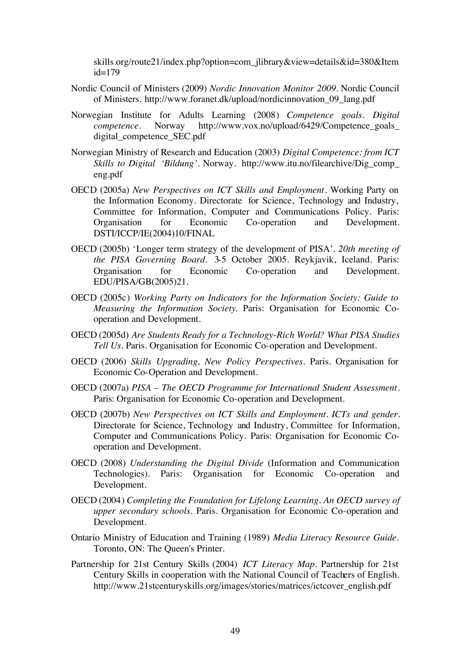skills.org/route21/index.php?option=com\_jlibrary&view=details&id=380&Item  $id = 179$ 

- Nordic Council of Ministers (2009) *Nordic Innovation Monitor 2009*. Nordic Council of Ministers. http://www.foranet.dk/upload/nordicinnovation\_09\_lang.pdf
- Norwegian Institute for Adults Learning (2008) *Competence goals. Digital competence*. Norway http://www.vox.no/upload/6429/Competence\_goals\_ digital\_competence\_SEC.pdf
- Norwegian Ministry of Research and Education (2003) *Digital Competence: from ICT Skills to Digital 'Bildung'*. Norway. http://www.itu.no/filearchive/Dig\_comp\_ eng.pdf
- OECD (2005a) *New Perspectives on ICT Skills and Employment*. Working Party on the Information Economy. Directorate for Science, Technology and Industry, Committee for Information, Computer and Communications Policy. Paris: Organisation for Economic Co-operation and Development. DSTI/ICCP/IE(2004)10/FINAL
- OECD (2005b) 'Longer term strategy of the development of PISA'. *20th meeting of the PISA Governing Board*. 3-5 October 2005. Reykjavik, Iceland. Paris: Organisation for Economic Co-operation and Development. EDU/PISA/GB(2005)21.
- OECD (2005c) *Working Party on Indicators for the Information Society: Guide to Measuring the Information Society.* Paris: Organisation for Economic Cooperation and Development.
- OECD (2005d) *Are Students Ready for a Technology*-*Rich World? What PISA Studies Tell Us.* Paris. Organisation for Economic Co-operation and Development.
- OECD (2006) *Skills Upgrading, New Policy Perspectives*. Paris. Organisation for Economic Co-Operation and Development.
- OECD (2007a) *PISA The OECD Programme for International Student Assessment*. Paris: Organisation for Economic Co-operation and Development.
- OECD (2007b) *New Perspectives on ICT Skills and Employment. ICTs and gender*. Directorate for Science, Technology and Industry, Committee for Information, Computer and Communications Policy. Paris: Organisation for Economic Cooperation and Development.
- OECD (2008) *Understanding the Digital Divide* (Information and Communication Technologies). Paris: Organisation for Economic Co-operation and Development.
- OECD (2004) *Completing the Foundation for Lifelong Learning. An OECD survey of upper secondary schools*. Paris. Organisation for Economic Co-operation and Development.
- Ontario Ministry of Education and Training (1989) *Media Literacy Resource Guide*. Toronto, ON: The Queen's Printer.
- Partnership for 21st Century Skills (2004) *ICT Literacy Map*. Partnership for 21st Century Skills in cooperation with the National Council of Teachers of English. http://www.21stcenturyskills.org/images/stories/matrices/ictcover\_english.pdf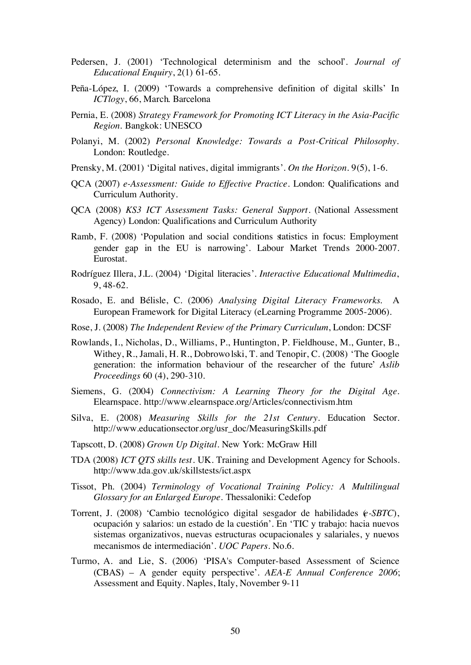- Pedersen, J. (2001) 'Technological determinism and the school'. *Journal of Educational Enquiry*, 2(1) 61-65.
- Peña-López, I. (2009) 'Towards a comprehensive definition of digital skills' In *ICTlogy*, 66, March. Barcelona
- Pernia, E. (2008) *Strategy Framework for Promoting ICT Literacy in the Asia-Pacific Region*. Bangkok: UNESCO
- Polanyi, M. (2002) *Personal Knowledge: Towards a Post-Critical Philosophy.* London: Routledge.
- Prensky, M. (2001) 'Digital natives, digital immigrants'. *On the Horizon.* 9(5), 1-6.
- QCA (2007) *e-Assessment: Guide to Effective Practice*. London: Qualifications and Curriculum Authority.
- QCA (2008) *KS3 ICT Assessment Tasks: General Support*. (National Assessment Agency) London: Qualifications and Curriculum Authority
- Ramb, F. (2008) 'Population and social conditions statistics in focus: Employment gender gap in the EU is narrowing'. Labour Market Trends 2000-2007. Eurostat.
- Rodríguez Illera, J.L. (2004) 'Digital literacies'. *Interactive Educational Multimedia*, 9, 48-62.
- Rosado, E. and Bélisle, C. (2006) *Analysing Digital Literacy Frameworks*. A European Framework for Digital Literacy (eLearning Programme 2005-2006).
- Rose, J. (2008) *The Independent Review of the Primary Curriculum*, London: DCSF
- Rowlands, I., Nicholas, D., Williams, P., Huntington, P. Fieldhouse, M., Gunter, B., Withey, R., Jamali, H. R., Dobrowo lski, T. and Tenopir, C. (2008) 'The Google generation: the information behaviour of the researcher of the future' *Aslib Proceedings* 60 (4), 290-310.
- Siemens, G. (2004) *Connectivism: A Learning Theory for the Digital Age*. Elearnspace. http://www.elearnspace.org/Articles/connectivism.htm
- Silva, E. (2008) *Measuring Skills for the 21st Century*. Education Sector. http://www.educationsector.org/usr\_doc/MeasuringSkills.pdf
- Tapscott, D. (2008) *Grown Up Digital*. New York: McGraw Hill
- TDA (2008) *ICT QTS skills test*. UK. Training and Development Agency for Schools. http://www.tda.gov.uk/skillstests/ict.aspx
- Tissot, Ph. (2004) *Terminology of Vocational Training Policy: A Multilingual Glossary for an Enlarged Europe*. Thessaloniki: Cedefop
- Torrent, J. (2008) 'Cambio tecnológico digital sesgador de habilidades (*e-SBTC*), ocupación y salarios: un estado de la cuestión'. En 'TIC y trabajo: hacia nuevos sistemas organizativos, nuevas estructuras ocupacionales y salariales, y nuevos mecanismos de intermediación'. *UOC Papers*. No.6.
- Turmo, A. and Lie, S. (2006) 'PISA's Computer-based Assessment of Science (CBAS) – A gender equity perspective'. *AEA-E Annual Conference 2006*; Assessment and Equity. Naples, Italy, November 9-11